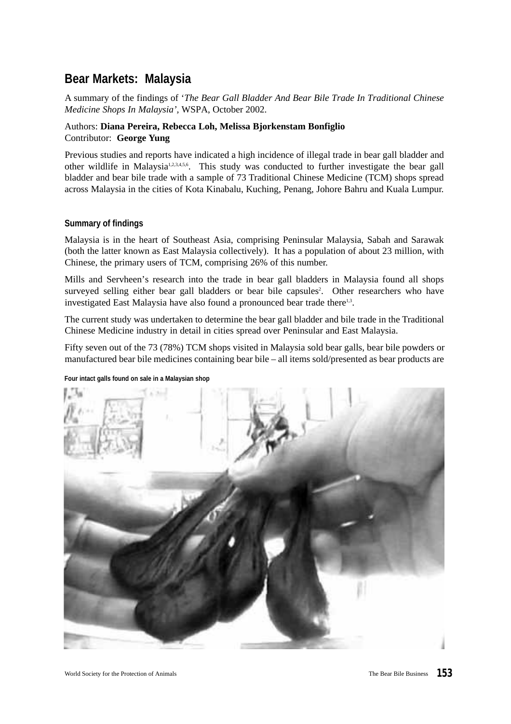## **Bear Markets: Malaysia**

A summary of the findings of '*The Bear Gall Bladder And Bear Bile Trade In Traditional Chinese Medicine Shops In Malaysia',* WSPA, October 2002.

#### Authors: **Diana Pereira, Rebecca Loh, Melissa Bjorkenstam Bonfiglio** Contributor: **George Yung**

Previous studies and reports have indicated a high incidence of illegal trade in bear gall bladder and other wildlife in Malaysia<sup>1,2,3,4,5,6</sup>. This study was conducted to further investigate the bear gall bladder and bear bile trade with a sample of 73 Traditional Chinese Medicine (TCM) shops spread across Malaysia in the cities of Kota Kinabalu, Kuching, Penang, Johore Bahru and Kuala Lumpur.

#### **Summary of findings**

Malaysia is in the heart of Southeast Asia, comprising Peninsular Malaysia, Sabah and Sarawak (both the latter known as East Malaysia collectively). It has a population of about 23 million, with Chinese, the primary users of TCM, comprising 26% of this number.

Mills and Servheen's research into the trade in bear gall bladders in Malaysia found all shops surveyed selling either bear gall bladders or bear bile capsules<sup>2</sup>. Other researchers who have investigated East Malaysia have also found a pronounced bear trade there<sup>1,3</sup>.

The current study was undertaken to determine the bear gall bladder and bile trade in the Traditional Chinese Medicine industry in detail in cities spread over Peninsular and East Malaysia.

Fifty seven out of the 73 (78%) TCM shops visited in Malaysia sold bear galls, bear bile powders or manufactured bear bile medicines containing bear bile – all items sold/presented as bear products are

#### **Four intact galls found on sale in a Malaysian shop**

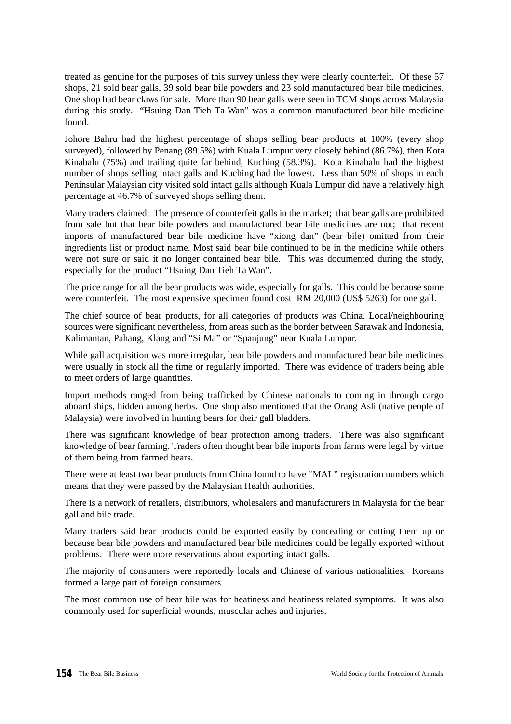treated as genuine for the purposes of this survey unless they were clearly counterfeit. Of these 57 shops, 21 sold bear galls, 39 sold bear bile powders and 23 sold manufactured bear bile medicines. One shop had bear claws for sale. More than 90 bear galls were seen in TCM shops across Malaysia during this study. "Hsuing Dan Tieh Ta Wan" was a common manufactured bear bile medicine found.

Johore Bahru had the highest percentage of shops selling bear products at 100% (every shop surveyed), followed by Penang (89.5%) with Kuala Lumpur very closely behind (86.7%), then Kota Kinabalu (75%) and trailing quite far behind, Kuching (58.3%). Kota Kinabalu had the highest number of shops selling intact galls and Kuching had the lowest. Less than 50% of shops in each Peninsular Malaysian city visited sold intact galls although Kuala Lumpur did have a relatively high percentage at 46.7% of surveyed shops selling them.

Many traders claimed: The presence of counterfeit galls in the market; that bear galls are prohibited from sale but that bear bile powders and manufactured bear bile medicines are not; that recent imports of manufactured bear bile medicine have "xiong dan" (bear bile) omitted from their ingredients list or product name. Most said bear bile continued to be in the medicine while others were not sure or said it no longer contained bear bile. This was documented during the study, especially for the product "Hsuing Dan Tieh Ta Wan".

The price range for all the bear products was wide, especially for galls. This could be because some were counterfeit. The most expensive specimen found cost RM 20,000 (US\$ 5263) for one gall.

The chief source of bear products, for all categories of products was China. Local/neighbouring sources were significant nevertheless, from areas such as the border between Sarawak and Indonesia, Kalimantan, Pahang, Klang and "Si Ma" or "Spanjung" near Kuala Lumpur.

While gall acquisition was more irregular, bear bile powders and manufactured bear bile medicines were usually in stock all the time or regularly imported. There was evidence of traders being able to meet orders of large quantities.

Import methods ranged from being trafficked by Chinese nationals to coming in through cargo aboard ships, hidden among herbs. One shop also mentioned that the Orang Asli (native people of Malaysia) were involved in hunting bears for their gall bladders.

There was significant knowledge of bear protection among traders. There was also significant knowledge of bear farming. Traders often thought bear bile imports from farms were legal by virtue of them being from farmed bears.

There were at least two bear products from China found to have "MAL" registration numbers which means that they were passed by the Malaysian Health authorities.

There is a network of retailers, distributors, wholesalers and manufacturers in Malaysia for the bear gall and bile trade.

Many traders said bear products could be exported easily by concealing or cutting them up or because bear bile powders and manufactured bear bile medicines could be legally exported without problems. There were more reservations about exporting intact galls.

The majority of consumers were reportedly locals and Chinese of various nationalities. Koreans formed a large part of foreign consumers.

The most common use of bear bile was for heatiness and heatiness related symptoms. It was also commonly used for superficial wounds, muscular aches and injuries.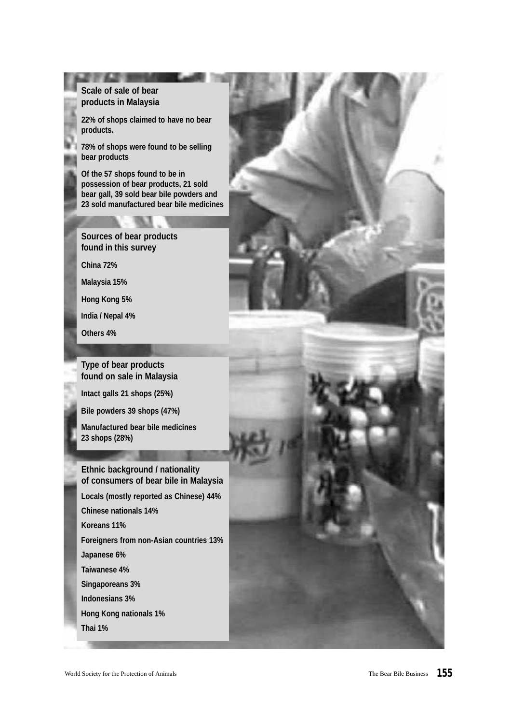#### **Scale of sale of bear products in Malaysia**

**22% of shops claimed to have no bear products.**

**78% of shops were found to be selling bear products**

**Of the 57 shops found to be in possession of bear products, 21 sold bear gall, 39 sold bear bile powders and 23 sold manufactured bear bile medicines**

#### **Sources of bear products found in this survey**

**China 72%**

**Malaysia 15%**

**Hong Kong 5%**

**India / Nepal 4%**

**Others 4%**

**Type of bear products found on sale in Malaysia**

**Intact galls 21 shops (25%)**

**Bile powders 39 shops (47%)**

**Manufactured bear bile medicines 23 shops (28%)**

**Ethnic background / nationality of consumers of bear bile in Malaysia Locals (mostly reported as Chinese) 44% Chinese nationals 14% Koreans 11% Foreigners from non-Asian countries 13% Japanese 6% Taiwanese 4% Singaporeans 3% Indonesians 3% Hong Kong nationals 1%**

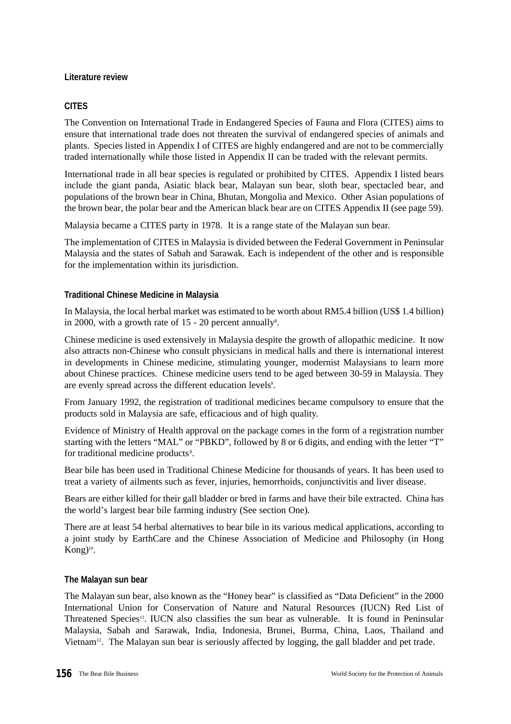#### **Literature review**

#### **CITES**

The Convention on International Trade in Endangered Species of Fauna and Flora (CITES) aims to ensure that international trade does not threaten the survival of endangered species of animals and plants. Species listed in Appendix I of CITES are highly endangered and are not to be commercially traded internationally while those listed in Appendix II can be traded with the relevant permits.

International trade in all bear species is regulated or prohibited by CITES. Appendix I listed bears include the giant panda, Asiatic black bear, Malayan sun bear, sloth bear, spectacled bear, and populations of the brown bear in China, Bhutan, Mongolia and Mexico. Other Asian populations of the brown bear, the polar bear and the American black bear are on CITES Appendix II (see page 59).

Malaysia became a CITES party in 1978. It is a range state of the Malayan sun bear.

The implementation of CITES in Malaysia is divided between the Federal Government in Peninsular Malaysia and the states of Sabah and Sarawak. Each is independent of the other and is responsible for the implementation within its jurisdiction.

#### **Traditional Chinese Medicine in Malaysia**

In Malaysia, the local herbal market was estimated to be worth about RM5.4 billion (US\$ 1.4 billion) in 2000, with a growth rate of 15 - 20 percent annually<sup>8</sup>.

Chinese medicine is used extensively in Malaysia despite the growth of allopathic medicine. It now also attracts non-Chinese who consult physicians in medical halls and there is international interest in developments in Chinese medicine, stimulating younger, modernist Malaysians to learn more about Chinese practices. Chinese medicine users tend to be aged between 30-59 in Malaysia. They are evenly spread across the different education levels<sup>9</sup>.

From January 1992, the registration of traditional medicines became compulsory to ensure that the products sold in Malaysia are safe, efficacious and of high quality.

Evidence of Ministry of Health approval on the package comes in the form of a registration number starting with the letters "MAL" or "PBKD", followed by 8 or 6 digits, and ending with the letter "T" for traditional medicine products<sup>8</sup>.

Bear bile has been used in Traditional Chinese Medicine for thousands of years. It has been used to treat a variety of ailments such as fever, injuries, hemorrhoids, conjunctivitis and liver disease.

Bears are either killed for their gall bladder or bred in farms and have their bile extracted. China has the world's largest bear bile farming industry (See section One).

There are at least 54 herbal alternatives to bear bile in its various medical applications, according to a joint study by EarthCare and the Chinese Association of Medicine and Philosophy (in Hong Kong)<sup>10</sup>.

#### **The Malayan sun bear**

The Malayan sun bear, also known as the "Honey bear" is classified as "Data Deficient" in the 2000 International Union for Conservation of Nature and Natural Resources (IUCN) Red List of Threatened Species<sup>11</sup>. IUCN also classifies the sun bear as vulnerable. It is found in Peninsular Malaysia, Sabah and Sarawak, India, Indonesia, Brunei, Burma, China, Laos, Thailand and Vietnam<sup>12</sup>. The Malayan sun bear is seriously affected by logging, the gall bladder and pet trade.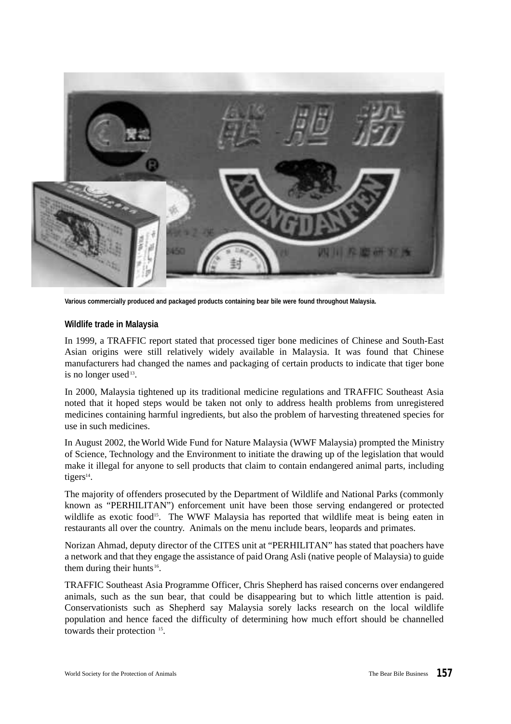

**Various commercially produced and packaged products containing bear bile were found throughout Malaysia.**

#### **Wildlife trade in Malaysia**

In 1999, a TRAFFIC report stated that processed tiger bone medicines of Chinese and South-East Asian origins were still relatively widely available in Malaysia. It was found that Chinese manufacturers had changed the names and packaging of certain products to indicate that tiger bone is no longer used<sup>13</sup>.

In 2000, Malaysia tightened up its traditional medicine regulations and TRAFFIC Southeast Asia noted that it hoped steps would be taken not only to address health problems from unregistered medicines containing harmful ingredients, but also the problem of harvesting threatened species for use in such medicines.

In August 2002, the World Wide Fund for Nature Malaysia (WWF Malaysia) prompted the Ministry of Science, Technology and the Environment to initiate the drawing up of the legislation that would make it illegal for anyone to sell products that claim to contain endangered animal parts, including tigers<sup>14</sup>.

The majority of offenders prosecuted by the Department of Wildlife and National Parks (commonly known as "PERHILITAN") enforcement unit have been those serving endangered or protected wildlife as exotic food<sup>15</sup>. The WWF Malaysia has reported that wildlife meat is being eaten in restaurants all over the country. Animals on the menu include bears, leopards and primates.

Norizan Ahmad, deputy director of the CITES unit at "PERHILITAN" has stated that poachers have a network and that they engage the assistance of paid Orang Asli (native people of Malaysia) to guide them during their hunts<sup>16</sup>.

TRAFFIC Southeast Asia Programme Officer, Chris Shepherd has raised concerns over endangered animals, such as the sun bear, that could be disappearing but to which little attention is paid. Conservationists such as Shepherd say Malaysia sorely lacks research on the local wildlife population and hence faced the difficulty of determining how much effort should be channelled towards their protection <sup>15</sup>.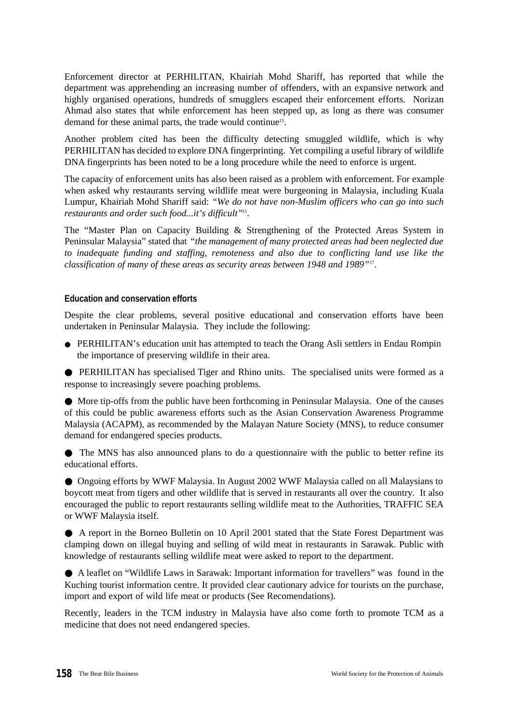Enforcement director at PERHILITAN, Khairiah Mohd Shariff, has reported that while the department was apprehending an increasing number of offenders, with an expansive network and highly organised operations, hundreds of smugglers escaped their enforcement efforts. Norizan Ahmad also states that while enforcement has been stepped up, as long as there was consumer demand for these animal parts, the trade would continue<sup>15</sup>.

Another problem cited has been the difficulty detecting smuggled wildlife, which is why PERHILITAN has decided to explore DNA fingerprinting. Yet compiling a useful library of wildlife DNA fingerprints has been noted to be a long procedure while the need to enforce is urgent.

The capacity of enforcement units has also been raised as a problem with enforcement. For example when asked why restaurants serving wildlife meat were burgeoning in Malaysia, including Kuala Lumpur, Khairiah Mohd Shariff said: *"We do not have non-Muslim officers who can go into such restaurants and order such food...it's difficult"*<sup>15</sup> .

The "Master Plan on Capacity Building & Strengthening of the Protected Areas System in Peninsular Malaysia" stated that *"the management of many protected areas had been neglected due to inadequate funding and staffing, remoteness and also due to conflicting land use like the classification of many of these areas as security areas between 1948 and 1989"*<sup>17</sup> .

#### **Education and conservation efforts**

Despite the clear problems, several positive educational and conservation efforts have been undertaken in Peninsular Malaysia. They include the following:

● PERHILITAN's education unit has attempted to teach the Orang Asli settlers in Endau Rompin the importance of preserving wildlife in their area.

● PERHILITAN has specialised Tiger and Rhino units. The specialised units were formed as a response to increasingly severe poaching problems.

● More tip-offs from the public have been forthcoming in Peninsular Malaysia. One of the causes of this could be public awareness efforts such as the Asian Conservation Awareness Programme Malaysia (ACAPM), as recommended by the Malayan Nature Society (MNS), to reduce consumer demand for endangered species products.

● The MNS has also announced plans to do a questionnaire with the public to better refine its educational efforts.

● Ongoing efforts by WWF Malaysia. In August 2002 WWF Malaysia called on all Malaysians to boycott meat from tigers and other wildlife that is served in restaurants all over the country. It also encouraged the public to report restaurants selling wildlife meat to the Authorities, TRAFFIC SEA or WWF Malaysia itself.

● A report in the Borneo Bulletin on 10 April 2001 stated that the State Forest Department was clamping down on illegal buying and selling of wild meat in restaurants in Sarawak. Public with knowledge of restaurants selling wildlife meat were asked to report to the department.

● A leaflet on "Wildlife Laws in Sarawak: Important information for travellers" was found in the Kuching tourist information centre. It provided clear cautionary advice for tourists on the purchase, import and export of wild life meat or products (See Recomendations).

Recently, leaders in the TCM industry in Malaysia have also come forth to promote TCM as a medicine that does not need endangered species.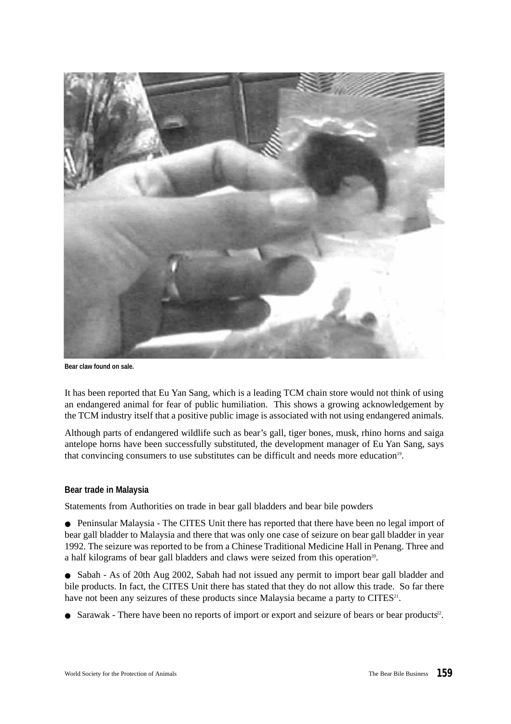

**Bear claw found on sale.**

It has been reported that Eu Yan Sang, which is a leading TCM chain store would not think of using an endangered animal for fear of public humiliation. This shows a growing acknowledgement by the TCM industry itself that a positive public image is associated with not using endangered animals.

Although parts of endangered wildlife such as bear's gall, tiger bones, musk, rhino horns and saiga antelope horns have been successfully substituted, the development manager of Eu Yan Sang, says that convincing consumers to use substitutes can be difficult and needs more education<sup>19</sup>.

#### **Bear trade in Malaysia**

Statements from Authorities on trade in bear gall bladders and bear bile powders

● Peninsular Malaysia - The CITES Unit there has reported that there have been no legal import of bear gall bladder to Malaysia and there that was only one case of seizure on bear gall bladder in year 1992. The seizure was reported to be from a Chinese Traditional Medicine Hall in Penang. Three and a half kilograms of bear gall bladders and claws were seized from this operation<sup>20</sup>.

• Sabah - As of 20th Aug 2002, Sabah had not issued any permit to import bear gall bladder and bile products. In fact, the CITES Unit there has stated that they do not allow this trade. So far there have not been any seizures of these products since Malaysia became a party to CITES $^{21}$ .

• Sarawak - There have been no reports of import or export and seizure of bears or bear products<sup>22</sup>.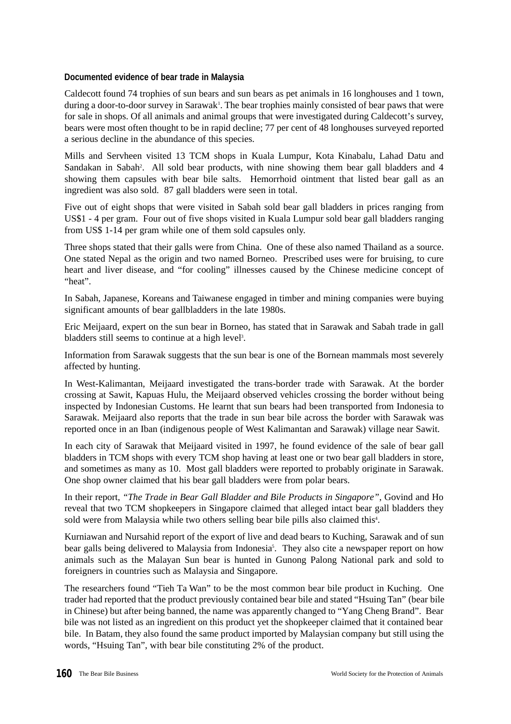#### **Documented evidence of bear trade in Malaysia**

Caldecott found 74 trophies of sun bears and sun bears as pet animals in 16 longhouses and 1 town, during a door-to-door survey in Sarawak<sup>1</sup>. The bear trophies mainly consisted of bear paws that were for sale in shops. Of all animals and animal groups that were investigated during Caldecott's survey, bears were most often thought to be in rapid decline; 77 per cent of 48 longhouses surveyed reported a serious decline in the abundance of this species.

Mills and Servheen visited 13 TCM shops in Kuala Lumpur, Kota Kinabalu, Lahad Datu and Sandakan in Sabah<sup>2</sup>. All sold bear products, with nine showing them bear gall bladders and 4 showing them capsules with bear bile salts. Hemorrhoid ointment that listed bear gall as an ingredient was also sold. 87 gall bladders were seen in total.

Five out of eight shops that were visited in Sabah sold bear gall bladders in prices ranging from US\$1 - 4 per gram. Four out of five shops visited in Kuala Lumpur sold bear gall bladders ranging from US\$ 1-14 per gram while one of them sold capsules only.

Three shops stated that their galls were from China. One of these also named Thailand as a source. One stated Nepal as the origin and two named Borneo. Prescribed uses were for bruising, to cure heart and liver disease, and "for cooling" illnesses caused by the Chinese medicine concept of "heat".

In Sabah, Japanese, Koreans and Taiwanese engaged in timber and mining companies were buying significant amounts of bear gallbladders in the late 1980s.

Eric Meijaard, expert on the sun bear in Borneo, has stated that in Sarawak and Sabah trade in gall bladders still seems to continue at a high level<sup>3</sup>.

Information from Sarawak suggests that the sun bear is one of the Bornean mammals most severely affected by hunting.

In West-Kalimantan, Meijaard investigated the trans-border trade with Sarawak. At the border crossing at Sawit, Kapuas Hulu, the Meijaard observed vehicles crossing the border without being inspected by Indonesian Customs. He learnt that sun bears had been transported from Indonesia to Sarawak. Meijaard also reports that the trade in sun bear bile across the border with Sarawak was reported once in an Iban (indigenous people of West Kalimantan and Sarawak) village near Sawit.

In each city of Sarawak that Meijaard visited in 1997, he found evidence of the sale of bear gall bladders in TCM shops with every TCM shop having at least one or two bear gall bladders in store, and sometimes as many as 10. Most gall bladders were reported to probably originate in Sarawak. One shop owner claimed that his bear gall bladders were from polar bears.

In their report, *"The Trade in Bear Gall Bladder and Bile Products in Singapore"*, Govind and Ho reveal that two TCM shopkeepers in Singapore claimed that alleged intact bear gall bladders they sold were from Malaysia while two others selling bear bile pills also claimed this<sup>4</sup>.

Kurniawan and Nursahid report of the export of live and dead bears to Kuching, Sarawak and of sun bear galls being delivered to Malaysia from Indonesia<sup>5</sup>. They also cite a newspaper report on how animals such as the Malayan Sun bear is hunted in Gunong Palong National park and sold to foreigners in countries such as Malaysia and Singapore.

The researchers found "Tieh Ta Wan" to be the most common bear bile product in Kuching. One trader had reported that the product previously contained bear bile and stated "Hsuing Tan" (bear bile in Chinese) but after being banned, the name was apparently changed to "Yang Cheng Brand". Bear bile was not listed as an ingredient on this product yet the shopkeeper claimed that it contained bear bile. In Batam, they also found the same product imported by Malaysian company but still using the words, "Hsuing Tan", with bear bile constituting 2% of the product.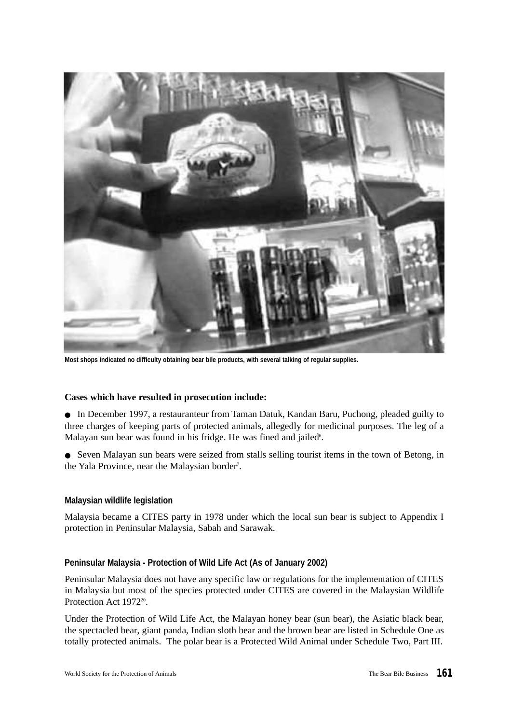

**Most shops indicated no difficulty obtaining bear bile products, with several talking of regular supplies.**

#### **Cases which have resulted in prosecution include:**

● In December 1997, a restauranteur from Taman Datuk, Kandan Baru, Puchong, pleaded guilty to three charges of keeping parts of protected animals, allegedly for medicinal purposes. The leg of a Malayan sun bear was found in his fridge. He was fined and jailed<sup>6</sup>.

● Seven Malayan sun bears were seized from stalls selling tourist items in the town of Betong, in the Yala Province, near the Malaysian border<sup>7</sup>.

#### **Malaysian wildlife legislation**

Malaysia became a CITES party in 1978 under which the local sun bear is subject to Appendix I protection in Peninsular Malaysia, Sabah and Sarawak.

#### **Peninsular Malaysia - Protection of Wild Life Act (As of January 2002)**

Peninsular Malaysia does not have any specific law or regulations for the implementation of CITES in Malaysia but most of the species protected under CITES are covered in the Malaysian Wildlife Protection Act 1972<sup>20</sup>.

Under the Protection of Wild Life Act, the Malayan honey bear (sun bear), the Asiatic black bear, the spectacled bear, giant panda, Indian sloth bear and the brown bear are listed in Schedule One as totally protected animals. The polar bear is a Protected Wild Animal under Schedule Two, Part III.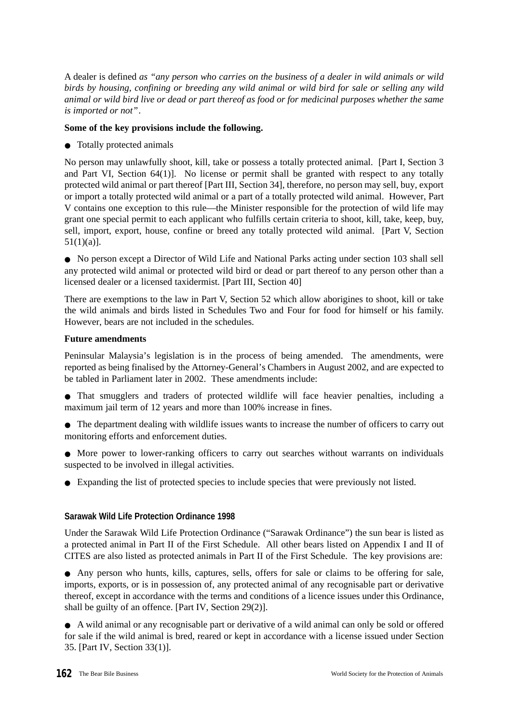A dealer is defined *as "any person who carries on the business of a dealer in wild animals or wild birds by housing, confining or breeding any wild animal or wild bird for sale or selling any wild animal or wild bird live or dead or part thereof as food or for medicinal purposes whether the same is imported or not"*.

#### **Some of the key provisions include the following.**

● Totally protected animals

No person may unlawfully shoot, kill, take or possess a totally protected animal. [Part I, Section 3 and Part VI, Section 64(1)]. No license or permit shall be granted with respect to any totally protected wild animal or part thereof [Part III, Section 34], therefore, no person may sell, buy, export or import a totally protected wild animal or a part of a totally protected wild animal. However, Part V contains one exception to this rule—the Minister responsible for the protection of wild life may grant one special permit to each applicant who fulfills certain criteria to shoot, kill, take, keep, buy, sell, import, export, house, confine or breed any totally protected wild animal. [Part V, Section 51(1)(a)].

● No person except a Director of Wild Life and National Parks acting under section 103 shall sell any protected wild animal or protected wild bird or dead or part thereof to any person other than a licensed dealer or a licensed taxidermist. [Part III, Section 40]

There are exemptions to the law in Part V, Section 52 which allow aborigines to shoot, kill or take the wild animals and birds listed in Schedules Two and Four for food for himself or his family. However, bears are not included in the schedules.

#### **Future amendments**

Peninsular Malaysia's legislation is in the process of being amended. The amendments, were reported as being finalised by the Attorney-General's Chambers in August 2002, and are expected to be tabled in Parliament later in 2002. These amendments include:

- That smugglers and traders of protected wildlife will face heavier penalties, including a maximum jail term of 12 years and more than 100% increase in fines.
- The department dealing with wildlife issues wants to increase the number of officers to carry out monitoring efforts and enforcement duties.
- More power to lower-ranking officers to carry out searches without warrants on individuals suspected to be involved in illegal activities.
- Expanding the list of protected species to include species that were previously not listed.

#### **Sarawak Wild Life Protection Ordinance 1998**

Under the Sarawak Wild Life Protection Ordinance ("Sarawak Ordinance") the sun bear is listed as a protected animal in Part II of the First Schedule. All other bears listed on Appendix I and II of CITES are also listed as protected animals in Part II of the First Schedule. The key provisions are:

● Any person who hunts, kills, captures, sells, offers for sale or claims to be offering for sale, imports, exports, or is in possession of, any protected animal of any recognisable part or derivative thereof, except in accordance with the terms and conditions of a licence issues under this Ordinance, shall be guilty of an offence. [Part IV, Section 29(2)].

● A wild animal or any recognisable part or derivative of a wild animal can only be sold or offered for sale if the wild animal is bred, reared or kept in accordance with a license issued under Section 35. [Part IV, Section 33(1)].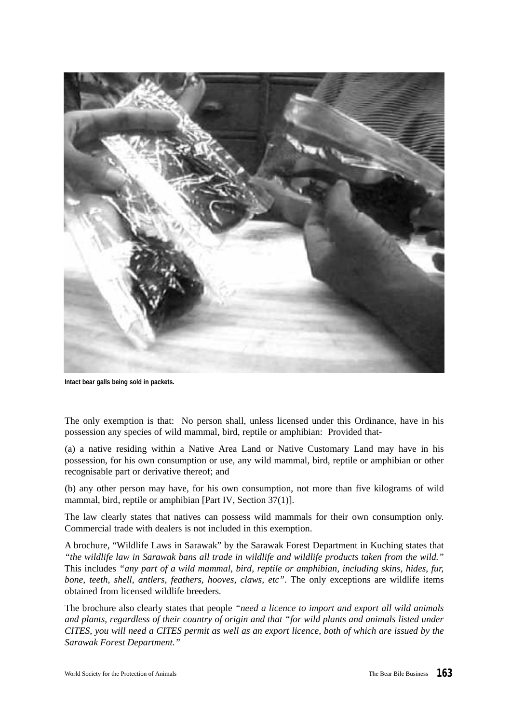

**Intact bear galls being sold in packets.**

The only exemption is that: No person shall, unless licensed under this Ordinance, have in his possession any species of wild mammal, bird, reptile or amphibian: Provided that-

(a) a native residing within a Native Area Land or Native Customary Land may have in his possession, for his own consumption or use, any wild mammal, bird, reptile or amphibian or other recognisable part or derivative thereof; and

(b) any other person may have, for his own consumption, not more than five kilograms of wild mammal, bird, reptile or amphibian [Part IV, Section 37(1)].

The law clearly states that natives can possess wild mammals for their own consumption only. Commercial trade with dealers is not included in this exemption.

A brochure, "Wildlife Laws in Sarawak" by the Sarawak Forest Department in Kuching states that *"the wildlife law in Sarawak bans all trade in wildlife and wildlife products taken from the wild."* This includes *"any part of a wild mammal, bird, reptile or amphibian, including skins, hides, fur, bone, teeth, shell, antlers, feathers, hooves, claws, etc"*. The only exceptions are wildlife items obtained from licensed wildlife breeders.

The brochure also clearly states that people *"need a licence to import and export all wild animals and plants, regardless of their country of origin and that "for wild plants and animals listed under CITES, you will need a CITES permit as well as an export licence, both of which are issued by the Sarawak Forest Department."*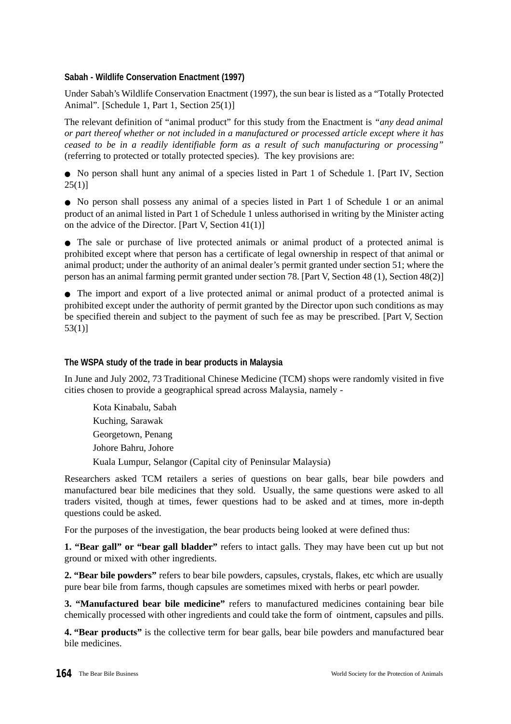#### **Sabah - Wildlife Conservation Enactment (1997)**

Under Sabah's Wildlife Conservation Enactment (1997), the sun bear is listed as a "Totally Protected Animal". [Schedule 1, Part 1, Section 25(1)]

The relevant definition of "animal product" for this study from the Enactment is *"any dead animal or part thereof whether or not included in a manufactured or processed article except where it has ceased to be in a readily identifiable form as a result of such manufacturing or processing"* (referring to protected or totally protected species). The key provisions are:

● No person shall hunt any animal of a species listed in Part 1 of Schedule 1. [Part IV, Section 25(1)]

● No person shall possess any animal of a species listed in Part 1 of Schedule 1 or an animal product of an animal listed in Part 1 of Schedule 1 unless authorised in writing by the Minister acting on the advice of the Director. [Part V, Section 41(1)]

● The sale or purchase of live protected animals or animal product of a protected animal is prohibited except where that person has a certificate of legal ownership in respect of that animal or animal product; under the authority of an animal dealer's permit granted under section 51; where the person has an animal farming permit granted under section 78. [Part V, Section 48 (1), Section 48(2)]

● The import and export of a live protected animal or animal product of a protected animal is prohibited except under the authority of permit granted by the Director upon such conditions as may be specified therein and subject to the payment of such fee as may be prescribed. [Part V, Section 53(1)]

#### **The WSPA study of the trade in bear products in Malaysia**

In June and July 2002, 73 Traditional Chinese Medicine (TCM) shops were randomly visited in five cities chosen to provide a geographical spread across Malaysia, namely -

Kota Kinabalu, Sabah Kuching, Sarawak Georgetown, Penang Johore Bahru, Johore Kuala Lumpur, Selangor (Capital city of Peninsular Malaysia)

Researchers asked TCM retailers a series of questions on bear galls, bear bile powders and manufactured bear bile medicines that they sold. Usually, the same questions were asked to all traders visited, though at times, fewer questions had to be asked and at times, more in-depth questions could be asked.

For the purposes of the investigation, the bear products being looked at were defined thus:

**1. "Bear gall" or "bear gall bladder"** refers to intact galls. They may have been cut up but not ground or mixed with other ingredients.

**2. "Bear bile powders"** refers to bear bile powders, capsules, crystals, flakes, etc which are usually pure bear bile from farms, though capsules are sometimes mixed with herbs or pearl powder.

**3. "Manufactured bear bile medicine"** refers to manufactured medicines containing bear bile chemically processed with other ingredients and could take the form of ointment, capsules and pills.

**4. "Bear products"** is the collective term for bear galls, bear bile powders and manufactured bear bile medicines.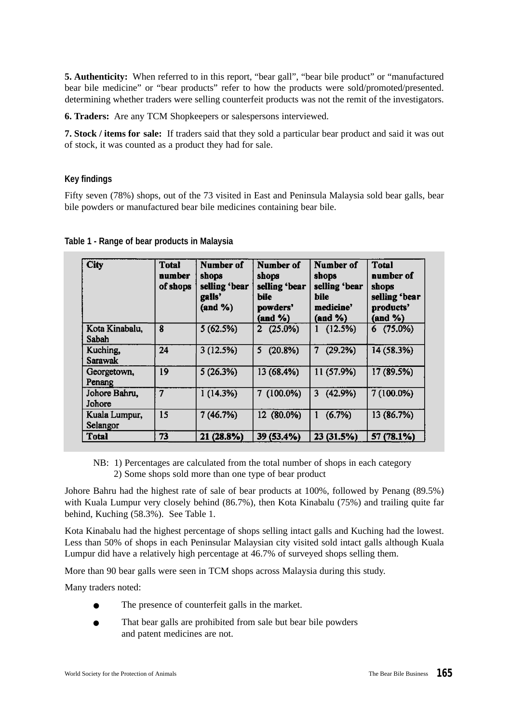**5. Authenticity:** When referred to in this report, "bear gall", "bear bile product" or "manufactured bear bile medicine" or "bear products" refer to how the products were sold/promoted/presented. determining whether traders were selling counterfeit products was not the remit of the investigators.

**6. Traders:** Are any TCM Shopkeepers or salespersons interviewed.

**7. Stock / items for sale:** If traders said that they sold a particular bear product and said it was out of stock, it was counted as a product they had for sale.

#### **Key findings**

Fifty seven (78%) shops, out of the 73 visited in East and Peninsula Malaysia sold bear galls, bear bile powders or manufactured bear bile medicines containing bear bile.

| <b>City</b>               | <b>Total</b><br>number<br>of shops | Number of<br>shops<br>selling 'bear<br>galls'<br>$(and \%)$ | Number of<br>shops<br>selling 'bear<br>bile<br>powders'<br>$(and \%)$ | Number of<br>shops<br>selling 'bear<br>bile<br>medicine'<br>(and %) | <b>Total</b><br>number of<br>shops<br>selling 'bear<br>products'<br>(and %) |
|---------------------------|------------------------------------|-------------------------------------------------------------|-----------------------------------------------------------------------|---------------------------------------------------------------------|-----------------------------------------------------------------------------|
| Kota Kinabalu,<br>Sabah   | 8                                  | 5(62.5%)                                                    | $2(25.0\%)$                                                           | 1(12.5%)                                                            | $6(75.0\%)$                                                                 |
| Kuching,<br>Sarawak       | 24                                 | 3(12.5%)                                                    | (20.8%)<br>5.                                                         | (29.2%)<br>7                                                        | 14 (58.3%)                                                                  |
| Georgetown,<br>Penang     | 19                                 | 5(26.3%)                                                    | 13 (68.4%)                                                            | 11 (57.9%)                                                          | 17 (89.5%)                                                                  |
| Johore Bahru,<br>Johore   | 7                                  | 1(14.3%)                                                    | $7(100.0\%)$                                                          | (42.9%)<br>3                                                        | 7 (100.0%)                                                                  |
| Kuala Lumpur,<br>Selangor | 15                                 | 7(46.7%)                                                    | 12 (80.0%)                                                            | (6.7%)<br>1                                                         | 13 (86.7%)                                                                  |
| <b>T</b> otal             | 73                                 | 21 (28.8%)                                                  | 39 (53.4%)                                                            | 23 (31.5%)                                                          | 57 (78.1%)                                                                  |

**Table 1 - Range of bear products in Malaysia**

NB: 1) Percentages are calculated from the total number of shops in each category 2) Some shops sold more than one type of bear product

Johore Bahru had the highest rate of sale of bear products at 100%, followed by Penang (89.5%) with Kuala Lumpur very closely behind (86.7%), then Kota Kinabalu (75%) and trailing quite far behind, Kuching (58.3%). See Table 1.

Kota Kinabalu had the highest percentage of shops selling intact galls and Kuching had the lowest. Less than 50% of shops in each Peninsular Malaysian city visited sold intact galls although Kuala Lumpur did have a relatively high percentage at 46.7% of surveyed shops selling them.

More than 90 bear galls were seen in TCM shops across Malaysia during this study.

Many traders noted:

- The presence of counterfeit galls in the market.
- That bear galls are prohibited from sale but bear bile powders and patent medicines are not.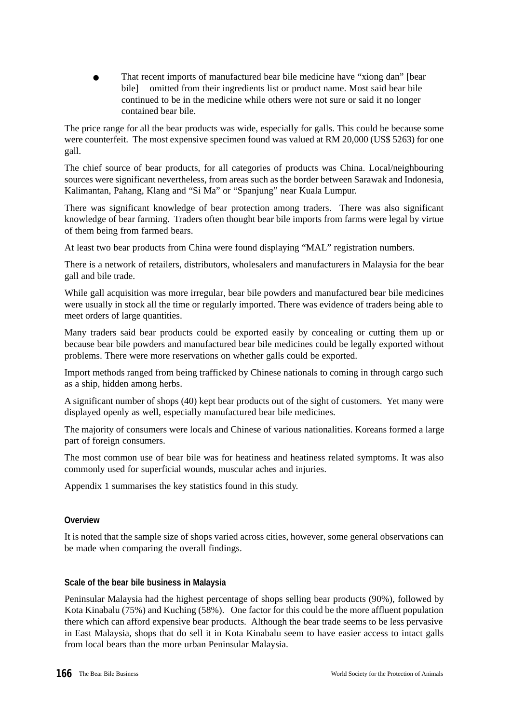That recent imports of manufactured bear bile medicine have "xiong dan" [bear bile] omitted from their ingredients list or product name. Most said bear bile continued to be in the medicine while others were not sure or said it no longer contained bear bile.

The price range for all the bear products was wide, especially for galls. This could be because some were counterfeit. The most expensive specimen found was valued at RM 20,000 (US\$ 5263) for one gall.

The chief source of bear products, for all categories of products was China. Local/neighbouring sources were significant nevertheless, from areas such as the border between Sarawak and Indonesia, Kalimantan, Pahang, Klang and "Si Ma" or "Spanjung" near Kuala Lumpur.

There was significant knowledge of bear protection among traders. There was also significant knowledge of bear farming. Traders often thought bear bile imports from farms were legal by virtue of them being from farmed bears.

At least two bear products from China were found displaying "MAL" registration numbers.

There is a network of retailers, distributors, wholesalers and manufacturers in Malaysia for the bear gall and bile trade.

While gall acquisition was more irregular, bear bile powders and manufactured bear bile medicines were usually in stock all the time or regularly imported. There was evidence of traders being able to meet orders of large quantities.

Many traders said bear products could be exported easily by concealing or cutting them up or because bear bile powders and manufactured bear bile medicines could be legally exported without problems. There were more reservations on whether galls could be exported.

Import methods ranged from being trafficked by Chinese nationals to coming in through cargo such as a ship, hidden among herbs.

A significant number of shops (40) kept bear products out of the sight of customers. Yet many were displayed openly as well, especially manufactured bear bile medicines.

The majority of consumers were locals and Chinese of various nationalities. Koreans formed a large part of foreign consumers.

The most common use of bear bile was for heatiness and heatiness related symptoms. It was also commonly used for superficial wounds, muscular aches and injuries.

Appendix 1 summarises the key statistics found in this study.

#### **Overview**

It is noted that the sample size of shops varied across cities, however, some general observations can be made when comparing the overall findings.

#### **Scale of the bear bile business in Malaysia**

Peninsular Malaysia had the highest percentage of shops selling bear products (90%), followed by Kota Kinabalu (75%) and Kuching (58%). One factor for this could be the more affluent population there which can afford expensive bear products. Although the bear trade seems to be less pervasive in East Malaysia, shops that do sell it in Kota Kinabalu seem to have easier access to intact galls from local bears than the more urban Peninsular Malaysia.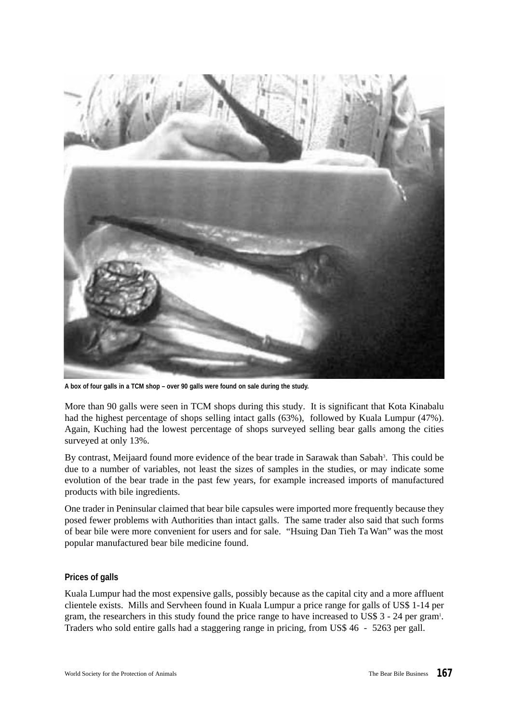

**A box of four galls in a TCM shop – over 90 galls were found on sale during the study.**

More than 90 galls were seen in TCM shops during this study. It is significant that Kota Kinabalu had the highest percentage of shops selling intact galls (63%), followed by Kuala Lumpur (47%). Again, Kuching had the lowest percentage of shops surveyed selling bear galls among the cities surveyed at only 13%.

By contrast, Meijaard found more evidence of the bear trade in Sarawak than Sabah<sup>3</sup>. This could be due to a number of variables, not least the sizes of samples in the studies, or may indicate some evolution of the bear trade in the past few years, for example increased imports of manufactured products with bile ingredients.

One trader in Peninsular claimed that bear bile capsules were imported more frequently because they posed fewer problems with Authorities than intact galls. The same trader also said that such forms of bear bile were more convenient for users and for sale. "Hsuing Dan Tieh Ta Wan" was the most popular manufactured bear bile medicine found.

#### **Prices of galls**

Kuala Lumpur had the most expensive galls, possibly because as the capital city and a more affluent clientele exists. Mills and Servheen found in Kuala Lumpur a price range for galls of US\$ 1-14 per gram, the researchers in this study found the price range to have increased to US\$ 3 - 24 per gram<sup>1</sup>. Traders who sold entire galls had a staggering range in pricing, from US\$ 46 - 5263 per gall.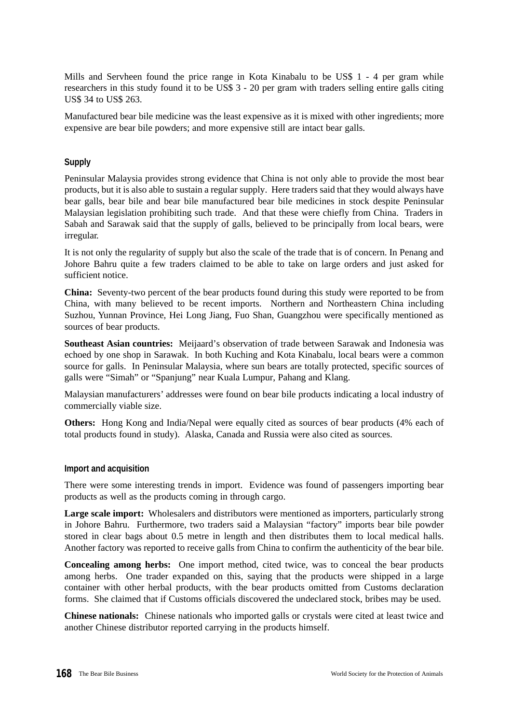Mills and Servheen found the price range in Kota Kinabalu to be US\$ 1 - 4 per gram while researchers in this study found it to be US\$ 3 - 20 per gram with traders selling entire galls citing US\$ 34 to US\$ 263.

Manufactured bear bile medicine was the least expensive as it is mixed with other ingredients; more expensive are bear bile powders; and more expensive still are intact bear galls.

#### **Supply**

Peninsular Malaysia provides strong evidence that China is not only able to provide the most bear products, but it is also able to sustain a regular supply. Here traders said that they would always have bear galls, bear bile and bear bile manufactured bear bile medicines in stock despite Peninsular Malaysian legislation prohibiting such trade. And that these were chiefly from China. Traders in Sabah and Sarawak said that the supply of galls, believed to be principally from local bears, were irregular.

It is not only the regularity of supply but also the scale of the trade that is of concern. In Penang and Johore Bahru quite a few traders claimed to be able to take on large orders and just asked for sufficient notice.

**China:** Seventy-two percent of the bear products found during this study were reported to be from China, with many believed to be recent imports. Northern and Northeastern China including Suzhou, Yunnan Province, Hei Long Jiang, Fuo Shan, Guangzhou were specifically mentioned as sources of bear products.

**Southeast Asian countries:** Meijaard's observation of trade between Sarawak and Indonesia was echoed by one shop in Sarawak. In both Kuching and Kota Kinabalu, local bears were a common source for galls. In Peninsular Malaysia, where sun bears are totally protected, specific sources of galls were "Simah" or "Spanjung" near Kuala Lumpur, Pahang and Klang.

Malaysian manufacturers' addresses were found on bear bile products indicating a local industry of commercially viable size.

**Others:** Hong Kong and India/Nepal were equally cited as sources of bear products (4% each of total products found in study). Alaska, Canada and Russia were also cited as sources.

#### **Import and acquisition**

There were some interesting trends in import. Evidence was found of passengers importing bear products as well as the products coming in through cargo.

**Large scale import:** Wholesalers and distributors were mentioned as importers, particularly strong in Johore Bahru. Furthermore, two traders said a Malaysian "factory" imports bear bile powder stored in clear bags about 0.5 metre in length and then distributes them to local medical halls. Another factory was reported to receive galls from China to confirm the authenticity of the bear bile.

**Concealing among herbs:** One import method, cited twice, was to conceal the bear products among herbs. One trader expanded on this, saying that the products were shipped in a large container with other herbal products, with the bear products omitted from Customs declaration forms. She claimed that if Customs officials discovered the undeclared stock, bribes may be used.

**Chinese nationals:** Chinese nationals who imported galls or crystals were cited at least twice and another Chinese distributor reported carrying in the products himself.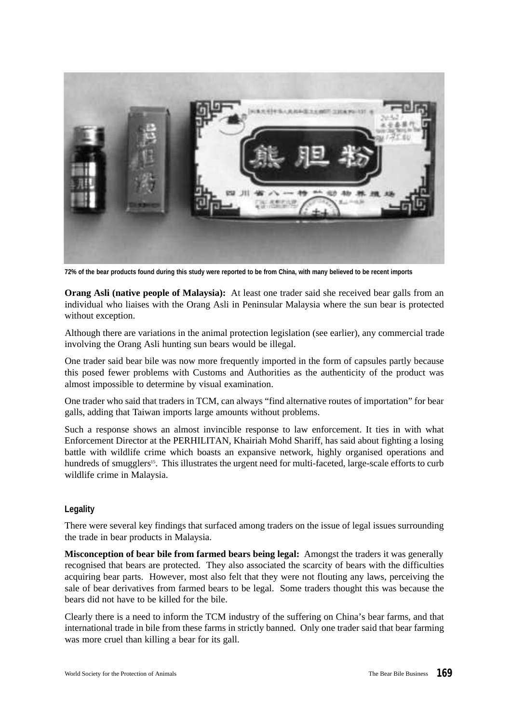

**72% of the bear products found during this study were reported to be from China, with many believed to be recent imports**

**Orang Asli (native people of Malaysia):** At least one trader said she received bear galls from an individual who liaises with the Orang Asli in Peninsular Malaysia where the sun bear is protected without exception.

Although there are variations in the animal protection legislation (see earlier), any commercial trade involving the Orang Asli hunting sun bears would be illegal.

One trader said bear bile was now more frequently imported in the form of capsules partly because this posed fewer problems with Customs and Authorities as the authenticity of the product was almost impossible to determine by visual examination.

One trader who said that traders in TCM, can always "find alternative routes of importation" for bear galls, adding that Taiwan imports large amounts without problems.

Such a response shows an almost invincible response to law enforcement. It ties in with what Enforcement Director at the PERHILITAN, Khairiah Mohd Shariff, has said about fighting a losing battle with wildlife crime which boasts an expansive network, highly organised operations and hundreds of smugglers<sup>15</sup>. This illustrates the urgent need for multi-faceted, large-scale efforts to curb wildlife crime in Malaysia.

#### **Legality**

There were several key findings that surfaced among traders on the issue of legal issues surrounding the trade in bear products in Malaysia.

**Misconception of bear bile from farmed bears being legal:** Amongst the traders it was generally recognised that bears are protected. They also associated the scarcity of bears with the difficulties acquiring bear parts. However, most also felt that they were not flouting any laws, perceiving the sale of bear derivatives from farmed bears to be legal. Some traders thought this was because the bears did not have to be killed for the bile.

Clearly there is a need to inform the TCM industry of the suffering on China's bear farms, and that international trade in bile from these farms in strictly banned. Only one trader said that bear farming was more cruel than killing a bear for its gall.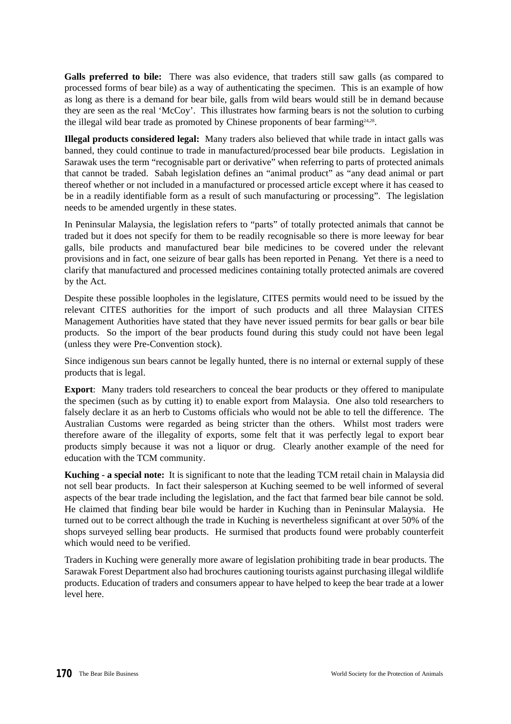**Galls preferred to bile:** There was also evidence, that traders still saw galls (as compared to processed forms of bear bile) as a way of authenticating the specimen. This is an example of how as long as there is a demand for bear bile, galls from wild bears would still be in demand because they are seen as the real 'McCoy'. This illustrates how farming bears is not the solution to curbing the illegal wild bear trade as promoted by Chinese proponents of bear farming<sup>24,28</sup>.

**Illegal products considered legal:** Many traders also believed that while trade in intact galls was banned, they could continue to trade in manufactured/processed bear bile products. Legislation in Sarawak uses the term "recognisable part or derivative" when referring to parts of protected animals that cannot be traded. Sabah legislation defines an "animal product" as "any dead animal or part thereof whether or not included in a manufactured or processed article except where it has ceased to be in a readily identifiable form as a result of such manufacturing or processing". The legislation needs to be amended urgently in these states.

In Peninsular Malaysia, the legislation refers to "parts" of totally protected animals that cannot be traded but it does not specify for them to be readily recognisable so there is more leeway for bear galls, bile products and manufactured bear bile medicines to be covered under the relevant provisions and in fact, one seizure of bear galls has been reported in Penang. Yet there is a need to clarify that manufactured and processed medicines containing totally protected animals are covered by the Act.

Despite these possible loopholes in the legislature, CITES permits would need to be issued by the relevant CITES authorities for the import of such products and all three Malaysian CITES Management Authorities have stated that they have never issued permits for bear galls or bear bile products. So the import of the bear products found during this study could not have been legal (unless they were Pre-Convention stock).

Since indigenous sun bears cannot be legally hunted, there is no internal or external supply of these products that is legal.

**Export**: Many traders told researchers to conceal the bear products or they offered to manipulate the specimen (such as by cutting it) to enable export from Malaysia. One also told researchers to falsely declare it as an herb to Customs officials who would not be able to tell the difference. The Australian Customs were regarded as being stricter than the others. Whilst most traders were therefore aware of the illegality of exports, some felt that it was perfectly legal to export bear products simply because it was not a liquor or drug. Clearly another example of the need for education with the TCM community.

**Kuching - a special note:** It is significant to note that the leading TCM retail chain in Malaysia did not sell bear products. In fact their salesperson at Kuching seemed to be well informed of several aspects of the bear trade including the legislation, and the fact that farmed bear bile cannot be sold. He claimed that finding bear bile would be harder in Kuching than in Peninsular Malaysia. He turned out to be correct although the trade in Kuching is nevertheless significant at over 50% of the shops surveyed selling bear products. He surmised that products found were probably counterfeit which would need to be verified.

Traders in Kuching were generally more aware of legislation prohibiting trade in bear products. The Sarawak Forest Department also had brochures cautioning tourists against purchasing illegal wildlife products. Education of traders and consumers appear to have helped to keep the bear trade at a lower level here.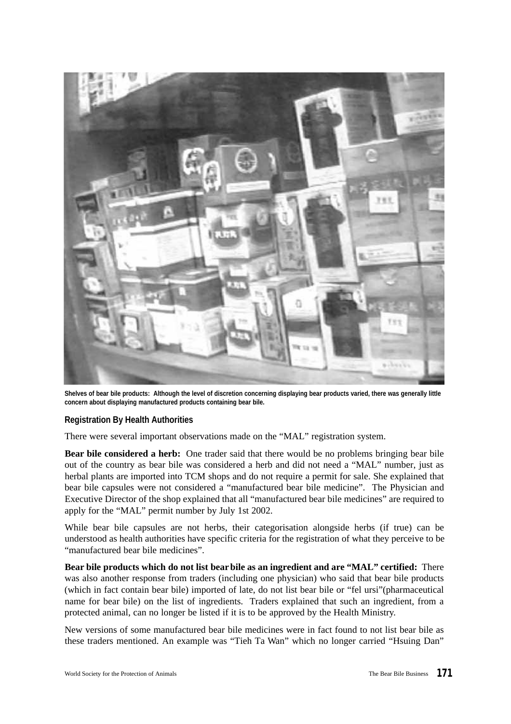

**Shelves of bear bile products: Although the level of discretion concerning displaying bear products varied, there was generally little concern about displaying manufactured products containing bear bile.**

#### **Registration By Health Authorities**

There were several important observations made on the "MAL" registration system.

**Bear bile considered a herb:** One trader said that there would be no problems bringing bear bile out of the country as bear bile was considered a herb and did not need a "MAL" number, just as herbal plants are imported into TCM shops and do not require a permit for sale. She explained that bear bile capsules were not considered a "manufactured bear bile medicine". The Physician and Executive Director of the shop explained that all "manufactured bear bile medicines" are required to apply for the "MAL" permit number by July 1st 2002.

While bear bile capsules are not herbs, their categorisation alongside herbs (if true) can be understood as health authorities have specific criteria for the registration of what they perceive to be "manufactured bear bile medicines".

**Bear bile products which do not list bearbile as an ingredient and are "MAL" certified:** There was also another response from traders (including one physician) who said that bear bile products (which in fact contain bear bile) imported of late, do not list bear bile or "fel ursi"(pharmaceutical name for bear bile) on the list of ingredients. Traders explained that such an ingredient, from a protected animal, can no longer be listed if it is to be approved by the Health Ministry.

New versions of some manufactured bear bile medicines were in fact found to not list bear bile as these traders mentioned. An example was "Tieh Ta Wan" which no longer carried "Hsuing Dan"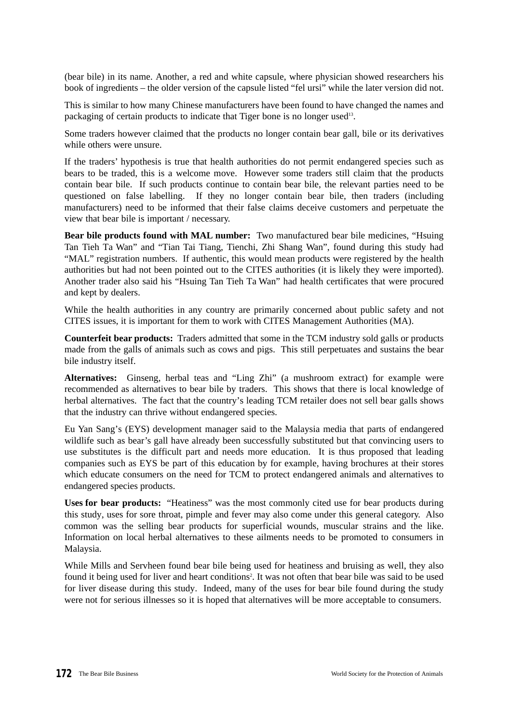(bear bile) in its name. Another, a red and white capsule, where physician showed researchers his book of ingredients – the older version of the capsule listed "fel ursi" while the later version did not.

This is similar to how many Chinese manufacturers have been found to have changed the names and packaging of certain products to indicate that Tiger bone is no longer used<sup>13</sup>.

Some traders however claimed that the products no longer contain bear gall, bile or its derivatives while others were unsure.

If the traders' hypothesis is true that health authorities do not permit endangered species such as bears to be traded, this is a welcome move. However some traders still claim that the products contain bear bile. If such products continue to contain bear bile, the relevant parties need to be questioned on false labelling. If they no longer contain bear bile, then traders (including manufacturers) need to be informed that their false claims deceive customers and perpetuate the view that bear bile is important / necessary.

**Bear bile products found with MAL number:** Two manufactured bear bile medicines, "Hsuing Tan Tieh Ta Wan" and "Tian Tai Tiang, Tienchi, Zhi Shang Wan", found during this study had "MAL" registration numbers. If authentic, this would mean products were registered by the health authorities but had not been pointed out to the CITES authorities (it is likely they were imported). Another trader also said his "Hsuing Tan Tieh Ta Wan" had health certificates that were procured and kept by dealers.

While the health authorities in any country are primarily concerned about public safety and not CITES issues, it is important for them to work with CITES Management Authorities (MA).

**Counterfeit bear products:** Traders admitted that some in the TCM industry sold galls or products made from the galls of animals such as cows and pigs. This still perpetuates and sustains the bear bile industry itself.

**Alternatives:** Ginseng, herbal teas and "Ling Zhi" (a mushroom extract) for example were recommended as alternatives to bear bile by traders. This shows that there is local knowledge of herbal alternatives. The fact that the country's leading TCM retailer does not sell bear galls shows that the industry can thrive without endangered species.

Eu Yan Sang's (EYS) development manager said to the Malaysia media that parts of endangered wildlife such as bear's gall have already been successfully substituted but that convincing users to use substitutes is the difficult part and needs more education. It is thus proposed that leading companies such as EYS be part of this education by for example, having brochures at their stores which educate consumers on the need for TCM to protect endangered animals and alternatives to endangered species products.

**Uses for bear products:** "Heatiness" was the most commonly cited use for bear products during this study, uses for sore throat, pimple and fever may also come under this general category. Also common was the selling bear products for superficial wounds, muscular strains and the like. Information on local herbal alternatives to these ailments needs to be promoted to consumers in Malaysia.

While Mills and Servheen found bear bile being used for heatiness and bruising as well, they also found it being used for liver and heart conditions<sup>2</sup>. It was not often that bear bile was said to be used for liver disease during this study. Indeed, many of the uses for bear bile found during the study were not for serious illnesses so it is hoped that alternatives will be more acceptable to consumers.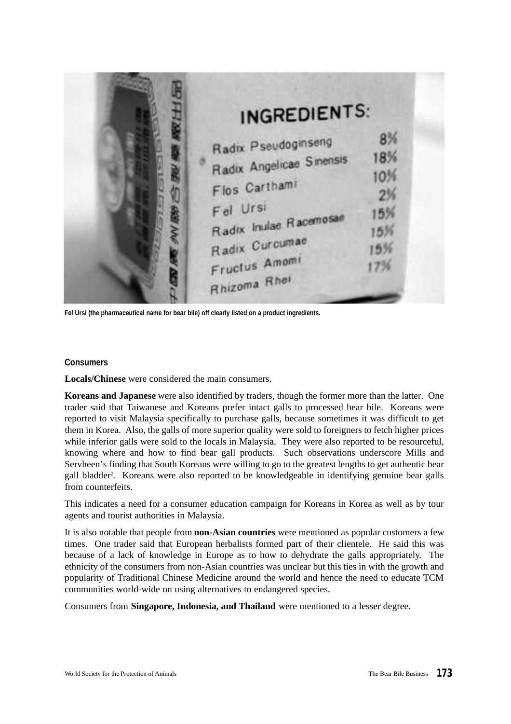| <b>INGREDIENTS:</b>                                                                                                                                       |                              |
|-----------------------------------------------------------------------------------------------------------------------------------------------------------|------------------------------|
| Radix Pseudoginseng<br>Radix Angelicae Sinensis<br>Flos Carthami<br>Fel Ursi<br>Radix Inulae Racemosae<br>Radix Curcumae<br>Fructus Amomi<br>Rhizoma Rhei | 8%<br>18%<br>10%<br>2%<br>5% |

**Fel Ursi (the pharmaceutical name for bear bile) off clearly listed on a product ingredients.**

#### **Consumers**

**Locals/Chinese** were considered the main consumers.

**Koreans and Japanese** were also identified by traders, though the former more than the latter. One trader said that Taiwanese and Koreans prefer intact galls to processed bear bile. Koreans were reported to visit Malaysia specifically to purchase galls, because sometimes it was difficult to get them in Korea. Also, the galls of more superior quality were sold to foreigners to fetch higher prices while inferior galls were sold to the locals in Malaysia. They were also reported to be resourceful, knowing where and how to find bear gall products. Such observations underscore Mills and Servheen's finding that South Koreans were willing to go to the greatest lengths to get authentic bear gall bladder<sup>2</sup>. Koreans were also reported to be knowledgeable in identifying genuine bear galls from counterfeits.

This indicates a need for a consumer education campaign for Koreans in Korea as well as by tour agents and tourist authorities in Malaysia.

It is also notable that people from **non-Asian countries** were mentioned as popular customers a few times. One trader said that European herbalists formed part of their clientele. He said this was because of a lack of knowledge in Europe as to how to dehydrate the galls appropriately. The ethnicity of the consumers from non-Asian countries was unclear but this ties in with the growth and popularity of Traditional Chinese Medicine around the world and hence the need to educate TCM communities world-wide on using alternatives to endangered species.

Consumers from **Singapore, Indonesia, and Thailand** were mentioned to a lesser degree.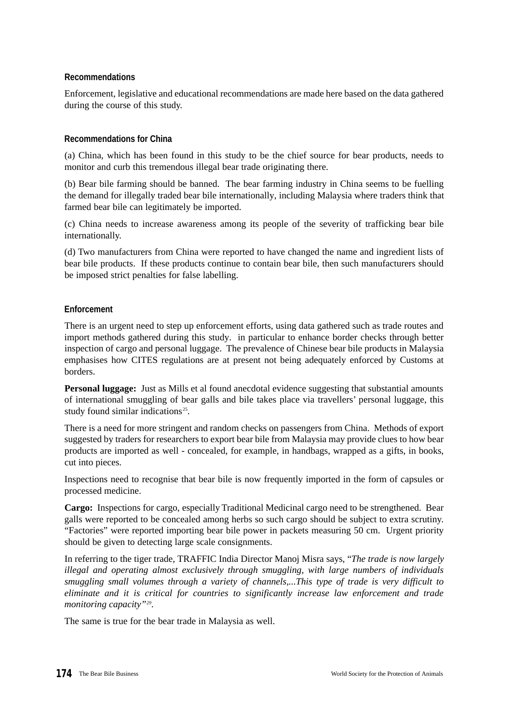#### **Recommendations**

Enforcement, legislative and educational recommendations are made here based on the data gathered during the course of this study.

#### **Recommendations for China**

(a) China, which has been found in this study to be the chief source for bear products, needs to monitor and curb this tremendous illegal bear trade originating there.

(b) Bear bile farming should be banned. The bear farming industry in China seems to be fuelling the demand for illegally traded bear bile internationally, including Malaysia where traders think that farmed bear bile can legitimately be imported.

(c) China needs to increase awareness among its people of the severity of trafficking bear bile internationally.

(d) Two manufacturers from China were reported to have changed the name and ingredient lists of bear bile products. If these products continue to contain bear bile, then such manufacturers should be imposed strict penalties for false labelling.

#### **Enforcement**

There is an urgent need to step up enforcement efforts, using data gathered such as trade routes and import methods gathered during this study. in particular to enhance border checks through better inspection of cargo and personal luggage. The prevalence of Chinese bear bile products in Malaysia emphasises how CITES regulations are at present not being adequately enforced by Customs at borders.

**Personal luggage:** Just as Mills et al found anecdotal evidence suggesting that substantial amounts of international smuggling of bear galls and bile takes place via travellers' personal luggage, this study found similar indications<sup>25</sup>.

There is a need for more stringent and random checks on passengers from China. Methods of export suggested by traders for researchers to export bear bile from Malaysia may provide clues to how bear products are imported as well - concealed, for example, in handbags, wrapped as a gifts, in books, cut into pieces.

Inspections need to recognise that bear bile is now frequently imported in the form of capsules or processed medicine.

**Cargo:** Inspections for cargo, especially Traditional Medicinal cargo need to be strengthened. Bear galls were reported to be concealed among herbs so such cargo should be subject to extra scrutiny. "Factories" were reported importing bear bile power in packets measuring 50 cm. Urgent priority should be given to detecting large scale consignments.

In referring to the tiger trade, TRAFFIC India Director Manoj Misra says, "*The trade is now largely illegal and operating almost exclusively through smuggling, with large numbers of individuals smuggling small volumes through a variety of channels,...This type of trade is very difficult to eliminate and it is critical for countries to significantly increase law enforcement and trade monitoring capacity"<sup>29</sup>* .

The same is true for the bear trade in Malaysia as well.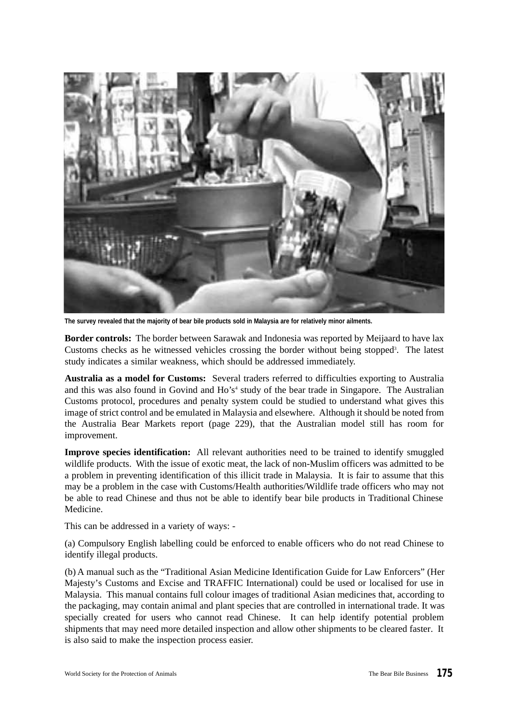

**The survey revealed that the majority of bear bile products sold in Malaysia are for relatively minor ailments.**

**Border controls:** The border between Sarawak and Indonesia was reported by Meijaard to have lax Customs checks as he witnessed vehicles crossing the border without being stopped<sup>3</sup> . The latest study indicates a similar weakness, which should be addressed immediately.

**Australia as a model for Customs:** Several traders referred to difficulties exporting to Australia and this was also found in Govind and Ho's 4 study of the bear trade in Singapore. The Australian Customs protocol, procedures and penalty system could be studied to understand what gives this image of strict control and be emulated in Malaysia and elsewhere. Although it should be noted from the Australia Bear Markets report (page 229), that the Australian model still has room for improvement.

**Improve species identification:** All relevant authorities need to be trained to identify smuggled wildlife products. With the issue of exotic meat, the lack of non-Muslim officers was admitted to be a problem in preventing identification of this illicit trade in Malaysia. It is fair to assume that this may be a problem in the case with Customs/Health authorities/Wildlife trade officers who may not be able to read Chinese and thus not be able to identify bear bile products in Traditional Chinese Medicine.

This can be addressed in a variety of ways: -

(a) Compulsory English labelling could be enforced to enable officers who do not read Chinese to identify illegal products.

(b) A manual such as the "Traditional Asian Medicine Identification Guide for Law Enforcers" (Her Majesty's Customs and Excise and TRAFFIC International) could be used or localised for use in Malaysia. This manual contains full colour images of traditional Asian medicines that, according to the packaging, may contain animal and plant species that are controlled in international trade. It was specially created for users who cannot read Chinese. It can help identify potential problem shipments that may need more detailed inspection and allow other shipments to be cleared faster. It is also said to make the inspection process easier.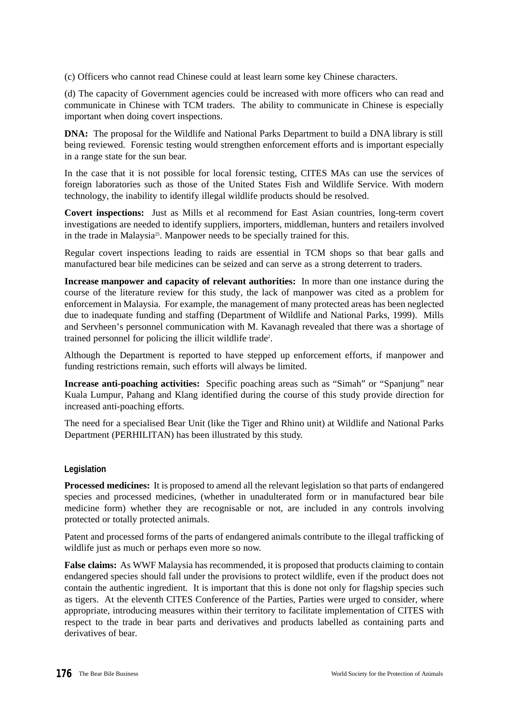(c) Officers who cannot read Chinese could at least learn some key Chinese characters.

(d) The capacity of Government agencies could be increased with more officers who can read and communicate in Chinese with TCM traders. The ability to communicate in Chinese is especially important when doing covert inspections.

**DNA:** The proposal for the Wildlife and National Parks Department to build a DNA library is still being reviewed. Forensic testing would strengthen enforcement efforts and is important especially in a range state for the sun bear.

In the case that it is not possible for local forensic testing, CITES MAs can use the services of foreign laboratories such as those of the United States Fish and Wildlife Service. With modern technology, the inability to identify illegal wildlife products should be resolved.

**Covert inspections:** Just as Mills et al recommend for East Asian countries, long-term covert investigations are needed to identify suppliers, importers, middleman, hunters and retailers involved in the trade in Malaysia<sup>25</sup>. Manpower needs to be specially trained for this.

Regular covert inspections leading to raids are essential in TCM shops so that bear galls and manufactured bear bile medicines can be seized and can serve as a strong deterrent to traders.

**Increase manpower and capacity of relevant authorities:** In more than one instance during the course of the literature review for this study, the lack of manpower was cited as a problem for enforcement in Malaysia. For example, the management of many protected areas has been neglected due to inadequate funding and staffing (Department of Wildlife and National Parks, 1999). Mills and Servheen's personnel communication with M. Kavanagh revealed that there was a shortage of trained personnel for policing the illicit wildlife trade<sup>2</sup>.

Although the Department is reported to have stepped up enforcement efforts, if manpower and funding restrictions remain, such efforts will always be limited.

**Increase anti-poaching activities:** Specific poaching areas such as "Simah" or "Spanjung" near Kuala Lumpur, Pahang and Klang identified during the course of this study provide direction for increased anti-poaching efforts.

The need for a specialised Bear Unit (like the Tiger and Rhino unit) at Wildlife and National Parks Department (PERHILITAN) has been illustrated by this study.

#### **Legislation**

**Processed medicines:** It is proposed to amend all the relevant legislation so that parts of endangered species and processed medicines, (whether in unadulterated form or in manufactured bear bile medicine form) whether they are recognisable or not, are included in any controls involving protected or totally protected animals.

Patent and processed forms of the parts of endangered animals contribute to the illegal trafficking of wildlife just as much or perhaps even more so now.

**False claims:** As WWF Malaysia has recommended, it is proposed that products claiming to contain endangered species should fall under the provisions to protect wildlife, even if the product does not contain the authentic ingredient. It is important that this is done not only for flagship species such as tigers. At the eleventh CITES Conference of the Parties, Parties were urged to consider, where appropriate, introducing measures within their territory to facilitate implementation of CITES with respect to the trade in bear parts and derivatives and products labelled as containing parts and derivatives of bear.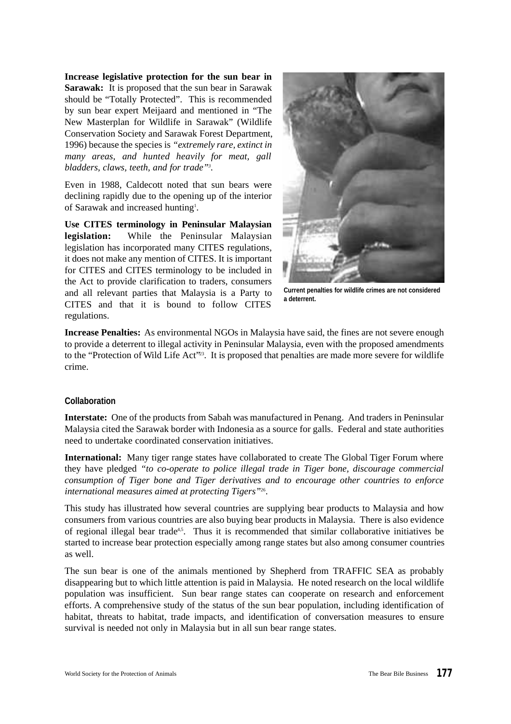**Increase legislative protection for the sun bear in Sarawak:** It is proposed that the sun bear in Sarawak should be "Totally Protected". This is recommended by sun bear expert Meijaard and mentioned in "The New Masterplan for Wildlife in Sarawak" (Wildlife Conservation Society and Sarawak Forest Department, 1996) because the species is *"extremely rare, extinct in many areas, and hunted heavily for meat, gall bladders, claws, teeth, and for trade"<sup>3</sup> .*

Even in 1988, Caldecott noted that sun bears were declining rapidly due to the opening up of the interior of Sarawak and increased hunting<sup>1</sup>.

**Use CITES terminology in Peninsular Malaysian legislation:** While the Peninsular Malaysian legislation has incorporated many CITES regulations, it does not make any mention of CITES. It is important for CITES and CITES terminology to be included in the Act to provide clarification to traders, consumers and all relevant parties that Malaysia is a Party to CITES and that it is bound to follow CITES regulations.



**Current penalties for wildlife crimes are not considered a deterrent.**

**Increase Penalties:** As environmental NGOs in Malaysia have said, the fines are not severe enough to provide a deterrent to illegal activity in Peninsular Malaysia, even with the proposed amendments to the "Protection of Wild Life Act"<sup>23</sup>. It is proposed that penalties are made more severe for wildlife crime.

#### **Collaboration**

**Interstate:** One of the products from Sabah was manufactured in Penang. And traders in Peninsular Malaysia cited the Sarawak border with Indonesia as a source for galls. Federal and state authorities need to undertake coordinated conservation initiatives.

**International:** Many tiger range states have collaborated to create The Global Tiger Forum where they have pledged *"to co-operate to police illegal trade in Tiger bone, discourage commercial consumption of Tiger bone and Tiger derivatives and to encourage other countries to enforce international measures aimed at protecting Tigers"*<sup>26</sup> .

This study has illustrated how several countries are supplying bear products to Malaysia and how consumers from various countries are also buying bear products in Malaysia. There is also evidence of regional illegal bear trade<sup>4,5</sup>. Thus it is recommended that similar collaborative initiatives be started to increase bear protection especially among range states but also among consumer countries as well.

The sun bear is one of the animals mentioned by Shepherd from TRAFFIC SEA as probably disappearing but to which little attention is paid in Malaysia. He noted research on the local wildlife population was insufficient. Sun bear range states can cooperate on research and enforcement efforts. A comprehensive study of the status of the sun bear population, including identification of habitat, threats to habitat, trade impacts, and identification of conversation measures to ensure survival is needed not only in Malaysia but in all sun bear range states.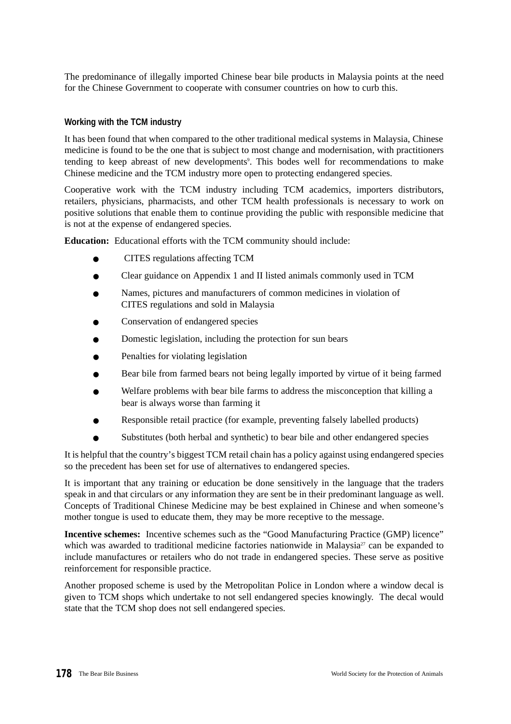The predominance of illegally imported Chinese bear bile products in Malaysia points at the need for the Chinese Government to cooperate with consumer countries on how to curb this.

#### **Working with the TCM industry**

It has been found that when compared to the other traditional medical systems in Malaysia, Chinese medicine is found to be the one that is subject to most change and modernisation, with practitioners tending to keep abreast of new developments<sup>9</sup>. This bodes well for recommendations to make Chinese medicine and the TCM industry more open to protecting endangered species.

Cooperative work with the TCM industry including TCM academics, importers distributors, retailers, physicians, pharmacists, and other TCM health professionals is necessary to work on positive solutions that enable them to continue providing the public with responsible medicine that is not at the expense of endangered species.

**Education:** Educational efforts with the TCM community should include:

- CITES regulations affecting TCM
- Clear guidance on Appendix 1 and II listed animals commonly used in TCM
- Names, pictures and manufacturers of common medicines in violation of CITES regulations and sold in Malaysia
- Conservation of endangered species
- Domestic legislation, including the protection for sun bears
- Penalties for violating legislation
- Bear bile from farmed bears not being legally imported by virtue of it being farmed
- Welfare problems with bear bile farms to address the misconception that killing a bear is always worse than farming it
- Responsible retail practice (for example, preventing falsely labelled products)
- Substitutes (both herbal and synthetic) to bear bile and other endangered species

It is helpful that the country's biggest TCM retail chain has a policy against using endangered species so the precedent has been set for use of alternatives to endangered species.

It is important that any training or education be done sensitively in the language that the traders speak in and that circulars or any information they are sent be in their predominant language as well. Concepts of Traditional Chinese Medicine may be best explained in Chinese and when someone's mother tongue is used to educate them, they may be more receptive to the message.

**Incentive schemes:** Incentive schemes such as the "Good Manufacturing Practice (GMP) licence" which was awarded to traditional medicine factories nationwide in Malaysia<sup>27</sup> can be expanded to include manufactures or retailers who do not trade in endangered species. These serve as positive reinforcement for responsible practice.

Another proposed scheme is used by the Metropolitan Police in London where a window decal is given to TCM shops which undertake to not sell endangered species knowingly. The decal would state that the TCM shop does not sell endangered species.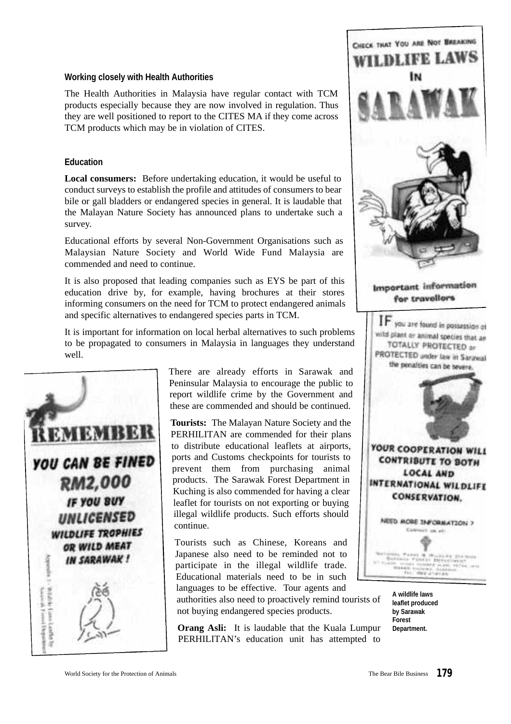#### **Working closely with Health Authorities**

The Health Authorities in Malaysia have regular contact with TCM products especially because they are now involved in regulation. Thus they are well positioned to report to the CITES MA if they come across TCM products which may be in violation of CITES.

#### **Education**

**Local consumers:** Before undertaking education, it would be useful to conduct surveys to establish the profile and attitudes of consumers to bear bile or gall bladders or endangered species in general. It is laudable that the Malayan Nature Society has announced plans to undertake such a survey.

Educational efforts by several Non-Government Organisations such as Malaysian Nature Society and World Wide Fund Malaysia are commended and need to continue.

It is also proposed that leading companies such as EYS be part of this education drive by, for example, having brochures at their stores informing consumers on the need for TCM to protect endangered animals and specific alternatives to endangered species parts in TCM.

It is important for information on local herbal alternatives to such problems to be propagated to consumers in Malaysia in languages they understand well.



There are already efforts in Sarawak and Peninsular Malaysia to encourage the public to report wildlife crime by the Government and these are commended and should be continued.

**Tourists:** The Malayan Nature Society and the PERHILITAN are commended for their plans to distribute educational leaflets at airports, ports and Customs checkpoints for tourists to prevent them from purchasing animal products. The Sarawak Forest Department in Kuching is also commended for having a clear leaflet for tourists on not exporting or buying illegal wildlife products. Such efforts should continue.

Tourists such as Chinese, Koreans and Japanese also need to be reminded not to participate in the illegal wildlife trade. Educational materials need to be in such languages to be effective. Tour agents and

authorities also need to proactively remind tourists of not buying endangered species products.

**Orang Asli:** It is laudable that the Kuala Lumpur PERHILITAN's education unit has attempted to



**A wildlife laws leaflet produced by Sarawak Forest Department.**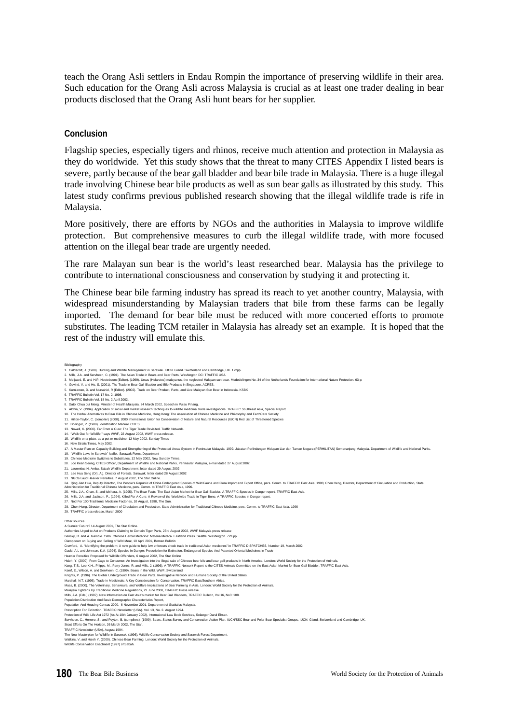teach the Orang Asli settlers in Endau Rompin the importance of preserving wildlife in their area. Such education for the Orang Asli across Malaysia is crucial as at least one trader dealing in bear products disclosed that the Orang Asli hunt bears for her supplier.

#### **Conclusion**

Flagship species, especially tigers and rhinos, receive much attention and protection in Malaysia as they do worldwide. Yet this study shows that the threat to many CITES Appendix I listed bears is severe, partly because of the bear gall bladder and bear bile trade in Malaysia. There is a huge illegal trade involving Chinese bear bile products as well as sun bear galls as illustrated by this study. This latest study confirms previous published research showing that the illegal wildlife trade is rife in Malaysia.

More positively, there are efforts by NGOs and the authorities in Malaysia to improve wildlife protection. But comprehensive measures to curb the illegal wildlife trade, with more focused attention on the illegal bear trade are urgently needed.

The rare Malayan sun bear is the world's least researched bear. Malaysia has the privilege to contribute to international consciousness and conservation by studying it and protecting it.

The Chinese bear bile farming industry has spread its reach to yet another country, Malaysia, with widespread misunderstanding by Malaysian traders that bile from these farms can be legally imported. The demand for bear bile must be reduced with more concerted efforts to promote substitutes. The leading TCM retailer in Malaysia has already set an example. It is hoped that the rest of the industry will emulate this.

Bibliography<br>1. Caldecott, J. (1988). Hunting and Wildlife Management in Sarawak. IUCN. Gland. Switzerland and Cambridge, UK. 172pp.<br>2. Mills, J.A. and Servheen, C. (1991). The Asian Trade in Bears and Bear Parts, Washingt 3. Meijaard, E. and H.P. Nooteboom (Editor). (1999). Ursus (Helarctos) malayanus, the neglected Malayan sun bear. Mededelingen No. 34 of the Netherlands Foundation for International Nature Protection. 63 p. 4. Govind, V. and Ho, S. (2001). The Trade in Bear Gall Bladder and Bile Products in Singapore. ACRES.<br>5. Kurniawan, D. and Nursahid, R (Editor). (2002). Trade on Bear Product, Parts, and Live Malayan Sun Bear in Indones 6. TRAFFIC Bulletin Vol. 17 No. 2, 1998. 7. TRAFFIC Bulletin Vol. 18 No. 2 April 2002. 8. Dato' Chua Jui Meng, Minister of Health Malaysia, 24 March 2002, Speech in Pulau Pinang. 9. Alchin, V. (1994). Application of social and market research techniques to wildlife medicinal trade investigations. TRAFFIC Southeast Asia, Special Report.<br>10. The Herbal Alternatives to Bear Bile in Chinese Medicine, H 11. Hilton-Taylor, C. (compiler) (2000). 2000 International Union for Conservation of Nature and Natural Resources (IUCN) Red List of Threatened Species 11. The United Property Construction Manual. CITES.<br>12. Dollinger, P. (1988). Identification Manual. CITES.<br>13. Nowell, K. (2000). Far From A Cure: The Tiger Trade Revisited. Traffic Network 13. Nowell, K. (2000). Far Fron A Cure: The Tiget Trads Revisted: Traffic Network.<br>14. "Walk Out for Widdler, "says WWF, 22 August 2002, WWF press release.<br>16. Nighlie ton a plate, as a per or medicine, 12 May 2002, Sunday 27. Nod For 100 Traditional Medicine Factories, 10 August, 1998, The Sun.<br>28. Chen Heng, Director, Department of Circulation and Production, State Administration for Traditional Chinese Medicine, pers. Comm. to TRAFFIC Eas Other sources<br>A Sunnier Future? 14 August 2001, The Star Onlin A Sunnier Future? 14 August 2001, The Star Online.<br>Authories Urged 14 Act on Products Claiming to Cortain Tiger Parts, 23rd August 2002. WWF Malaysia press release<br>Bensky, D. and A. Gamble. 1986. Chinese Herbal Medicine: M Maas, B. (2000). The Veterinary, Behavioural and Welfare Implications of Bear Farming in Asia. London: World Society for the Protection of Animals.<br>Malaysia Tightens Up Traditional Medicine Regulations, 22 June 2000, TRAFF Mills, J.A. (Eds.) (1997). New Information on East Asia's market for Bear Gall Bladders, TRAFFIC Bulletin, Vol.16, No3: 108.<br>Mills, J.A. (Eds.) (1997). New Information on East Asia's market for Bear Gall Bladders, TRAFFIC Population Distribution And Basic Demographic Characteristics Report, Population And Housing Census 2000, 6 November 2001, Department of Statistics Malaysia. Prescription For Extinction. TRAFFIC Newsletter (USA). Vol. 13, No. 2. August 1994.<br>Protection of Wild Life Act 1971. Jamay 2002), International Law Book Services, Selangor Darul Ensan.<br>Servheen, C., Herrero, S., and Peyto Stout Efforts On The Horizon, 26 March 2002, The Star.<br>TRAFFIC Newsletter (USA), August 1994.<br>TRAFFIC Newsletter (USA), August 1994.<br>Walkins, V. and Hsieh Y. (2000). Chinese Bear Farming. London: World Society for the Prot The Teen masterplain for virtune in Sarawan, (1990). Villulle Conservation Society and Sari<br>Watkins, V. and Hsieh Y. (2000). Chinese Bear Farming. London: World Society for the Pro<br>Wildlife Conservation Enactment (1997) of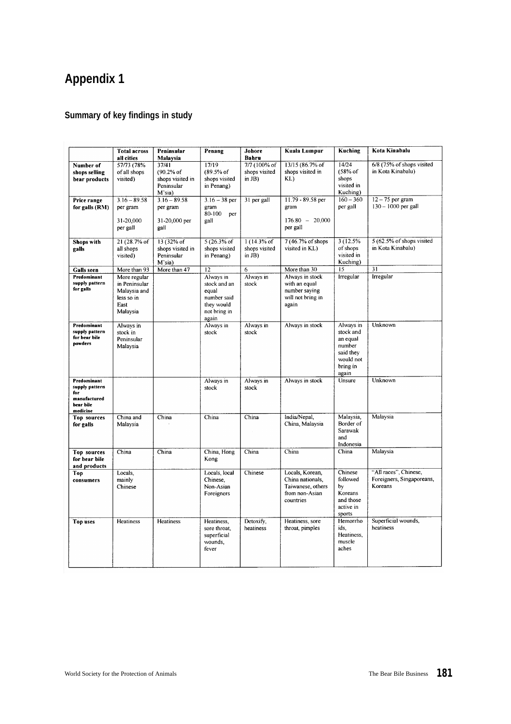# **Appendix 1**

### **Summary of key findings in study**

|                                     | <b>Total across</b>           | Peninsular                     | Penang                      | Johore                                      | <b>Kuala Lumpur</b>                 | Kuching                 | Kota Kinabalu                                      |
|-------------------------------------|-------------------------------|--------------------------------|-----------------------------|---------------------------------------------|-------------------------------------|-------------------------|----------------------------------------------------|
|                                     | all cities                    | Malaysia                       |                             | Bahru                                       |                                     |                         |                                                    |
| Number of<br>shops selling          | 57/73 (78%<br>of all shops    | 37/41<br>(90.2% of             | 17/19<br>(89.5% of          | $7/7$ $(100\% \text{ of }$<br>shops visited | 13/15 (86.7% of<br>shops visited in | 14/24<br>(58% of        | 6/8 (75% of shops visited<br>in Kota Kinabalu)     |
| bear products                       | visited)                      | shops visited in               | shops visited               | in $JB$ )                                   | KL                                  | shops                   |                                                    |
|                                     |                               | Peninsular                     | in Penang)                  |                                             |                                     | visited in              |                                                    |
| Price range                         | $3.16 - 89.58$                | M'sia)<br>$3.16 - 89.58$       | $3.16 - 38$ per             | 31 per gall                                 | 11.79 - 89.58 per                   | Kuching)<br>$160 - 360$ | $12 - 75$ per gram                                 |
| for galls (RM)                      | per gram                      | per gram                       | gram                        |                                             | gram                                | per gall                | $130 - 1000$ per gall                              |
|                                     |                               |                                | 80-100<br>рег               |                                             |                                     |                         |                                                    |
|                                     | 31-20,000<br>per gall         | 31-20,000 per<br>gall          | gall                        |                                             | $176.80 - 20,000$<br>per gall       |                         |                                                    |
|                                     |                               |                                |                             |                                             |                                     |                         |                                                    |
| Shops with                          | 21 (28.7% of                  | 13 (32% of                     | $5(26.3%$ of                | $1(14.3\%$ of                               | 7 (46.7% of shops                   | 3 (12.5%)               | 5 (62.5% of shops visited                          |
| galls                               | all shops<br>visited)         | shops visited in<br>Peninsular | shops visited<br>in Penang) | shops visited<br>in $JB$ )                  | visited in KL)                      | of shops<br>visited in  | in Kota Kinabalu)                                  |
|                                     |                               | M'sia)                         |                             |                                             |                                     | Kuching)                |                                                    |
| Galls seen                          | More than 93                  | More than 47                   | $\overline{12}$             | 6                                           | More than 30                        | 15                      | 31                                                 |
| Predominant<br>supply pattern       | More regular<br>in Peninsular |                                | Always in<br>stock and an   | Always in<br>stock                          | Always in stock<br>with an equal    | Irregular               | Irregular                                          |
| for galls                           | Malaysia and                  |                                | equal                       |                                             | number saying                       |                         |                                                    |
|                                     | less so in                    |                                | number said                 |                                             | will not bring in                   |                         |                                                    |
|                                     | East                          |                                | they would                  |                                             | again                               |                         |                                                    |
|                                     | Malaysia                      |                                | not bring in<br>again       |                                             |                                     |                         |                                                    |
| Predominant                         | Always in                     |                                | Always in                   | Always in                                   | Always in stock                     | Always in               | Unknown                                            |
| supply pattern<br>for bear bile     | stock in<br>Peninsular        |                                | stock                       | stock                                       |                                     | stock and<br>an equal   |                                                    |
| powders                             | Malaysia                      |                                |                             |                                             |                                     | number                  |                                                    |
|                                     |                               |                                |                             |                                             |                                     | said they               |                                                    |
|                                     |                               |                                |                             |                                             |                                     | would not<br>bring in   |                                                    |
|                                     |                               |                                |                             |                                             |                                     | again                   |                                                    |
| Predominant                         |                               |                                | Always in                   | Always in                                   | Always in stock                     | Unsure                  | Unknown                                            |
| supply pattern<br>for               |                               |                                | stock                       | stock                                       |                                     |                         |                                                    |
| manufactured<br>bear bile           |                               |                                |                             |                                             |                                     |                         |                                                    |
| medicine                            |                               |                                |                             |                                             |                                     |                         |                                                    |
| Top sources                         | China and                     | China                          | China                       | China                                       | India/Nepal,                        | Malaysia,<br>Border of  | Malaysia                                           |
| for galls                           | Malaysia                      |                                |                             |                                             | China, Malaysia                     | Sarawak                 |                                                    |
|                                     |                               |                                |                             |                                             |                                     | and                     |                                                    |
|                                     |                               |                                |                             |                                             |                                     | Indonesia               |                                                    |
| <b>Top sources</b><br>for bear bile | China                         | China                          | China, Hong<br>Kong         | China                                       | China                               | China                   | Malaysia                                           |
| and products                        |                               |                                |                             |                                             |                                     |                         |                                                    |
| Top                                 | Locals,<br>mainly             |                                | Locals, local<br>Chinese,   | Chinese                                     | Locals, Korean,<br>China nationals. | Chinese<br>followed     | "All races", Chinese,<br>Foreigners, Singaporeans, |
| consumers                           | Chinese                       |                                | Non-Asian                   |                                             | Taiwanese, others                   | by                      | Koreans                                            |
|                                     |                               |                                | Foreigners                  |                                             | from non-Asian                      | Koreans                 |                                                    |
|                                     |                               |                                |                             |                                             | countries                           | and those               |                                                    |
|                                     |                               |                                |                             |                                             |                                     | active in<br>sports     |                                                    |
| Top uses                            | Heatiness                     | Heatiness                      | Heatiness,                  | Detoxify.                                   | Heatiness, sore                     | Hemorrho                | Superficial wounds,                                |
|                                     |                               |                                | sore throat,                | heatiness                                   | throat, pimples                     | ids.<br>Heatiness.      | heatiness                                          |
|                                     |                               |                                | superficial<br>wounds.      |                                             |                                     | muscle                  |                                                    |
|                                     |                               |                                | fever                       |                                             |                                     | aches                   |                                                    |
|                                     |                               |                                |                             |                                             |                                     |                         |                                                    |
|                                     |                               |                                |                             |                                             |                                     |                         |                                                    |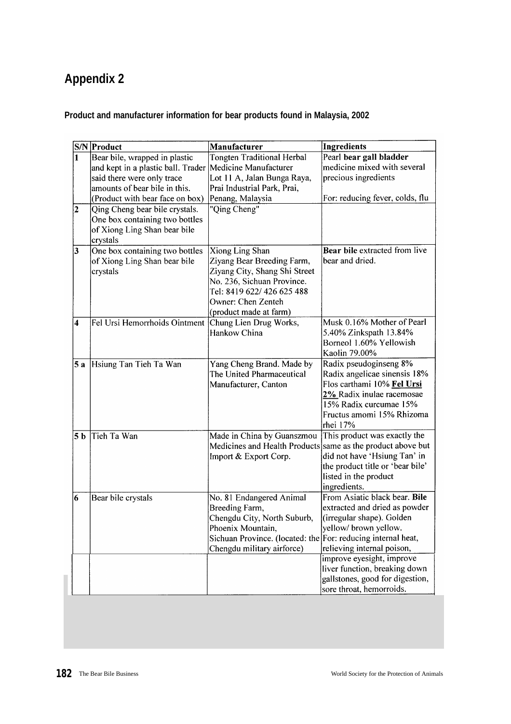# **Appendix 2**

### **Product and manufacturer information for bear products found in Malaysia, 2002**

|                         | S/N Product                                          | Manufacturer                                                 | Ingredients                      |
|-------------------------|------------------------------------------------------|--------------------------------------------------------------|----------------------------------|
|                         | Bear bile, wrapped in plastic                        | <b>Tongten Traditional Herbal</b>                            | Pearl bear gall bladder          |
|                         | and kept in a plastic ball. Trader                   | Medicine Manufacturer                                        | medicine mixed with several      |
|                         | said there were only trace                           | Lot 11 A, Jalan Bunga Raya,                                  | precious ingredients             |
|                         | amounts of bear bile in this.                        | Prai Industrial Park, Prai,                                  |                                  |
|                         | (Product with bear face on box)                      | Penang, Malaysia                                             | For: reducing fever, colds, flu  |
| $\overline{\mathbf{c}}$ | Qing Cheng bear bile crystals.                       | "Qing Cheng"                                                 |                                  |
|                         | One box containing two bottles                       |                                                              |                                  |
|                         | of Xiong Ling Shan bear bile                         |                                                              |                                  |
|                         | crystals                                             |                                                              |                                  |
| $\vert 3 \vert$         | One box containing two bottles                       | <b>Xiong Ling Shan</b>                                       | Bear bile extracted from live    |
|                         | of Xiong Ling Shan bear bile                         | Ziyang Bear Breeding Farm,                                   | bear and dried.                  |
|                         | crystals                                             | Ziyang City, Shang Shi Street                                |                                  |
|                         |                                                      | No. 236, Sichuan Province.                                   |                                  |
|                         |                                                      | Tel: 8419 622/ 426 625 488                                   |                                  |
|                         |                                                      | Owner: Chen Zenteh                                           |                                  |
|                         |                                                      | (product made at farm)                                       |                                  |
| 4                       | Fel Ursi Hemorrhoids Ointment Chung Lien Drug Works, |                                                              | Musk 0.16% Mother of Pearl       |
|                         |                                                      | Hankow China                                                 | 5.40% Zinkspath 13.84%           |
|                         |                                                      |                                                              | Borneol 1.60% Yellowish          |
|                         |                                                      |                                                              | Kaolin 79.00%                    |
| 5 a                     | Hsiung Tan Tieh Ta Wan                               | Yang Cheng Brand. Made by                                    | Radix pseudoginseng 8%           |
|                         |                                                      | The United Pharmaceutical                                    | Radix angelicae sinensis 18%     |
|                         |                                                      | Manufacturer, Canton                                         | Flos carthami 10% Fel Ursi       |
|                         |                                                      |                                                              | 2% Radix inulae racemosae        |
|                         |                                                      |                                                              | 15% Radix curcumae 15%           |
|                         |                                                      |                                                              | Fructus amomi 15% Rhizoma        |
|                         |                                                      |                                                              | rhei 17%                         |
| 5 <sub>b</sub>          | Tieh Ta Wan                                          | Made in China by Guanszmou                                   | This product was exactly the     |
|                         |                                                      | Medicines and Health Products same as the product above but  |                                  |
|                         |                                                      | Import & Export Corp.                                        | did not have 'Hsiung Tan' in     |
|                         |                                                      |                                                              | the product title or 'bear bile' |
|                         |                                                      |                                                              | listed in the product            |
|                         |                                                      |                                                              | ingredients.                     |
| 6                       | Bear bile crystals                                   | No. 81 Endangered Animal                                     | From Asiatic black bear. Bile    |
|                         |                                                      | Breeding Farm,                                               | extracted and dried as powder    |
|                         |                                                      | Chengdu City, North Suburb,                                  | (irregular shape). Golden        |
|                         |                                                      | Phoenix Mountain,                                            | yellow/ brown yellow.            |
|                         |                                                      | Sichuan Province. (located: the For: reducing internal heat, |                                  |
|                         |                                                      | Chengdu military airforce)                                   | relieving internal poison,       |
|                         |                                                      |                                                              | improve eyesight, improve        |
|                         |                                                      |                                                              | liver function, breaking down    |
|                         |                                                      |                                                              | gallstones, good for digestion,  |
|                         |                                                      |                                                              | sore throat, hemorroids.         |